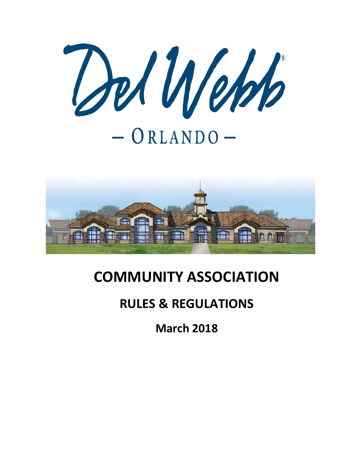



# **COMMUNITY ASSOCIATION**

# **RULES & REGULATIONS**

**March 2018**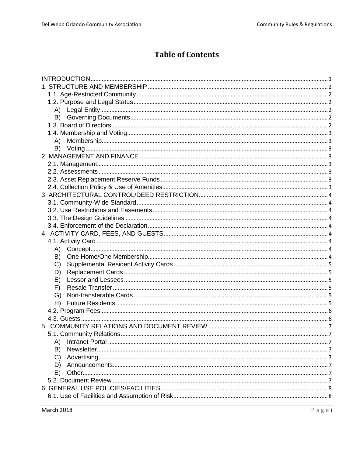# **Table of Contents**

| A)            |
|---------------|
|               |
|               |
|               |
|               |
|               |
|               |
|               |
|               |
|               |
|               |
|               |
|               |
|               |
|               |
| B)            |
| C)            |
| D)            |
| E)            |
| F)            |
| G)            |
|               |
|               |
|               |
|               |
|               |
| A)            |
| B)            |
| $\mathcal{C}$ |
| D)            |
| E)            |
|               |
|               |
|               |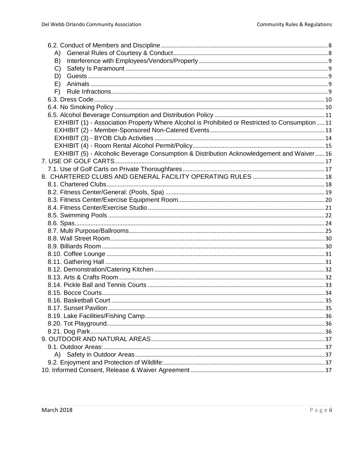| A)                                                                                            |  |
|-----------------------------------------------------------------------------------------------|--|
| B)                                                                                            |  |
| C)                                                                                            |  |
| D)                                                                                            |  |
| E)                                                                                            |  |
| F)                                                                                            |  |
|                                                                                               |  |
|                                                                                               |  |
|                                                                                               |  |
| EXHIBIT (1) - Association Property Where Alcohol is Prohibited or Restricted to Consumption11 |  |
|                                                                                               |  |
|                                                                                               |  |
|                                                                                               |  |
| EXHIBIT (5) - Alcoholic Beverage Consumption & Distribution Acknowledgement and Waiver16      |  |
|                                                                                               |  |
|                                                                                               |  |
|                                                                                               |  |
|                                                                                               |  |
|                                                                                               |  |
|                                                                                               |  |
|                                                                                               |  |
|                                                                                               |  |
|                                                                                               |  |
|                                                                                               |  |
|                                                                                               |  |
|                                                                                               |  |
|                                                                                               |  |
|                                                                                               |  |
|                                                                                               |  |
|                                                                                               |  |
|                                                                                               |  |
|                                                                                               |  |
|                                                                                               |  |
|                                                                                               |  |
|                                                                                               |  |
|                                                                                               |  |
|                                                                                               |  |
|                                                                                               |  |
|                                                                                               |  |
|                                                                                               |  |
|                                                                                               |  |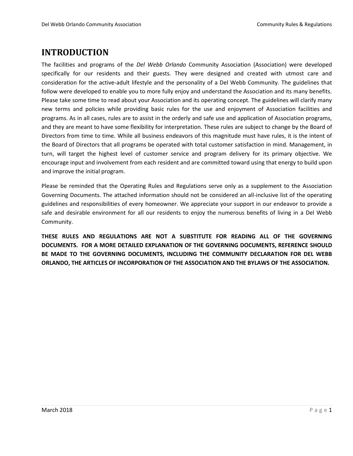# <span id="page-3-0"></span>**INTRODUCTION**

The facilities and programs of the *Del Webb Orlando* Community Association (Association) were developed specifically for our residents and their guests. They were designed and created with utmost care and consideration for the active-adult lifestyle and the personality of a Del Webb Community. The guidelines that follow were developed to enable you to more fully enjoy and understand the Association and its many benefits. Please take some time to read about your Association and its operating concept. The guidelines will clarify many new terms and policies while providing basic rules for the use and enjoyment of Association facilities and programs. As in all cases, rules are to assist in the orderly and safe use and application of Association programs, and they are meant to have some flexibility for interpretation. These rules are subject to change by the Board of Directors from time to time. While all business endeavors of this magnitude must have rules, it is the intent of the Board of Directors that all programs be operated with total customer satisfaction in mind. Management, in turn, will target the highest level of customer service and program delivery for its primary objective. We encourage input and involvement from each resident and are committed toward using that energy to build upon and improve the initial program.

Please be reminded that the Operating Rules and Regulations serve only as a supplement to the Association Governing Documents. The attached information should not be considered an all-inclusive list of the operating guidelines and responsibilities of every homeowner. We appreciate your support in our endeavor to provide a safe and desirable environment for all our residents to enjoy the numerous benefits of living in a Del Webb Community.

**THESE RULES AND REGULATIONS ARE NOT A SUBSTITUTE FOR READING ALL OF THE GOVERNING DOCUMENTS. FOR A MORE DETAILED EXPLANATION OF THE GOVERNING DOCUMENTS, REFERENCE SHOULD BE MADE TO THE GOVERNING DOCUMENTS, INCLUDING THE COMMUNITY DECLARATION FOR DEL WEBB ORLANDO, THE ARTICLES OF INCORPORATION OF THE ASSOCIATION AND THE BYLAWS OF THE ASSOCIATION.**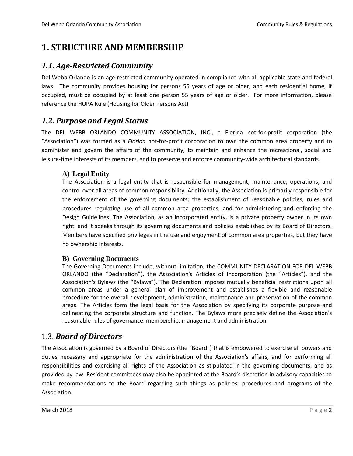# <span id="page-4-0"></span>**1. STRUCTURE AND MEMBERSHIP**

### <span id="page-4-1"></span>*1.1. Age-Restricted Community*

Del Webb Orlando is an age-restricted community operated in compliance with all applicable state and federal laws. The community provides housing for persons 55 years of age or older, and each residential home, if occupied, must be occupied by at least one person 55 years of age or older. For more information, please reference the HOPA Rule (Housing for Older Persons Act)

### <span id="page-4-2"></span>*1.2. Purpose and Legal Status*

The DEL WEBB ORLANDO COMMUNITY ASSOCIATION, INC., a Florida not-for-profit corporation (the "Association") was formed as a *Florida* not-for-profit corporation to own the common area property and to administer and govern the affairs of the community, to maintain and enhance the recreational, social and leisure-time interests of its members, and to preserve and enforce community-wide architectural standards.

#### <span id="page-4-3"></span>**A) Legal Entity**

The Association is a legal entity that is responsible for management, maintenance, operations, and control over all areas of common responsibility. Additionally, the Association is primarily responsible for the enforcement of the governing documents; the establishment of reasonable policies, rules and procedures regulating use of all common area properties; and for administering and enforcing the Design Guidelines. The Association, as an incorporated entity, is a private property owner in its own right, and it speaks through its governing documents and policies established by its Board of Directors. Members have specified privileges in the use and enjoyment of common area properties, but they have no ownership interests.

#### <span id="page-4-4"></span>**B) Governing Documents**

The Governing Documents include, without limitation, the COMMUNITY DECLARATION FOR DEL WEBB ORLANDO (the "Declaration"), the Association's Articles of Incorporation (the "Articles"), and the Association's Bylaws (the "Bylaws"). The Declaration imposes mutually beneficial restrictions upon all common areas under a general plan of improvement and establishes a flexible and reasonable procedure for the overall development, administration, maintenance and preservation of the common areas. The Articles form the legal basis for the Association by specifying its corporate purpose and delineating the corporate structure and function. The Bylaws more precisely define the Association's reasonable rules of governance, membership, management and administration.

### <span id="page-4-5"></span>1.3. *Board of Directors*

The Association is governed by a Board of Directors (the "Board") that is empowered to exercise all powers and duties necessary and appropriate for the administration of the Association's affairs, and for performing all responsibilities and exercising all rights of the Association as stipulated in the governing documents, and as provided by law. Resident committees may also be appointed at the Board's discretion in advisory capacities to make recommendations to the Board regarding such things as policies, procedures and programs of the Association.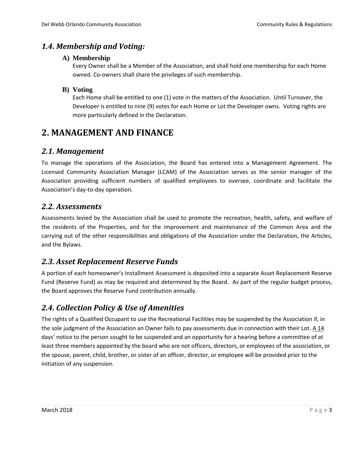### <span id="page-5-1"></span><span id="page-5-0"></span>*1.4. Membership and Voting:*

#### **A) Membership**

Every Owner shall be a Member of the Association, and shall hold one membership for each Home owned. Co-owners shall share the privileges of such membership.

#### <span id="page-5-2"></span>**B) Voting**

Each Home shall be entitled to one (1) vote in the matters of the Association. Until Turnover, the Developer is entitled to nine (9) votes for each Home or Lot the Developer owns. Voting rights are more particularly defined in the Declaration.

# <span id="page-5-3"></span>**2. MANAGEMENT AND FINANCE**

### <span id="page-5-4"></span>*2.1. Management*

To manage the operations of the Association, the Board has entered into a Management Agreement*.* The Licensed Community Association Manager (LCAM) of the Association serves as the senior manager of the Association providing sufficient numbers of qualified employees to oversee, coordinate and facilitate the Association's day-to-day operation.

### <span id="page-5-5"></span>*2.2. Assessments*

Assessments levied by the Association shall be used to promote the recreation, health, safety, and welfare of the residents of the Properties, and for the improvement and maintenance of the Common Area and the carrying out of the other responsibilities and obligations of the Association under the Declaration, the Articles, and the Bylaws.

### <span id="page-5-6"></span>*2.3. Asset Replacement Reserve Funds*

A portion of each homeowner's Installment Assessment is deposited into a separate Asset Replacement Reserve Fund (Reserve Fund) as may be required and determined by the Board. As part of the regular budget process, the Board approves the Reserve Fund contribution annually.

### <span id="page-5-7"></span>*2.4. Collection Policy & Use of Amenities*

The rights of a Qualified Occupant to use the Recreational Facilities may be suspended by the Association if, in the sole judgment of the Association an Owner fails to pay assessments due in connection with their Lot. A 14 days' notice to the person sought to be suspended and an opportunity for a hearing before a committee of at least three members appointed by the board who are not officers, directors, or employees of the association, or the spouse, parent, child, brother, or sister of an officer, director, or employee will be provided prior to the initiation of any suspension.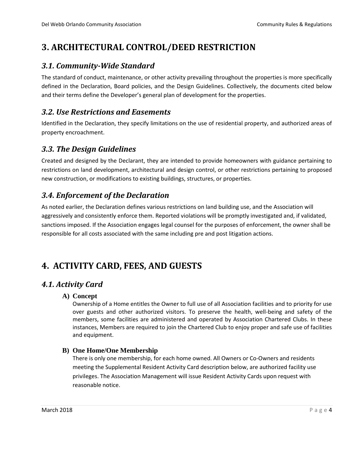# <span id="page-6-0"></span>**3. ARCHITECTURAL CONTROL/DEED RESTRICTION**

### <span id="page-6-1"></span>*3.1. Community-Wide Standard*

The standard of conduct, maintenance, or other activity prevailing throughout the properties is more specifically defined in the Declaration, Board policies, and the Design Guidelines. Collectively, the documents cited below and their terms define the Developer's general plan of development for the properties.

### <span id="page-6-2"></span>*3.2. Use Restrictions and Easements*

Identified in the Declaration, they specify limitations on the use of residential property, and authorized areas of property encroachment.

### <span id="page-6-3"></span>*3.3. The Design Guidelines*

Created and designed by the Declarant, they are intended to provide homeowners with guidance pertaining to restrictions on land development, architectural and design control, or other restrictions pertaining to proposed new construction, or modifications to existing buildings, structures, or properties.

### <span id="page-6-4"></span>*3.4. Enforcement of the Declaration*

As noted earlier, the Declaration defines various restrictions on land building use, and the Association will aggressively and consistently enforce them. Reported violations will be promptly investigated and, if validated, sanctions imposed. If the Association engages legal counsel for the purposes of enforcement, the owner shall be responsible for all costs associated with the same including pre and post litigation actions.

# <span id="page-6-5"></span>**4. ACTIVITY CARD, FEES, AND GUESTS**

### <span id="page-6-7"></span><span id="page-6-6"></span>*4.1. Activity Card*

#### **A) Concept**

Ownership of a Home entitles the Owner to full use of all Association facilities and to priority for use over guests and other authorized visitors. To preserve the health, well-being and safety of the members, some facilities are administered and operated by Association Chartered Clubs. In these instances, Members are required to join the Chartered Club to enjoy proper and safe use of facilities and equipment.

#### <span id="page-6-8"></span>**B) One Home/One Membership**

There is only one membership, for each home owned. All Owners or Co-Owners and residents meeting the Supplemental Resident Activity Card description below, are authorized facility use privileges. The Association Management will issue Resident Activity Cards upon request with reasonable notice.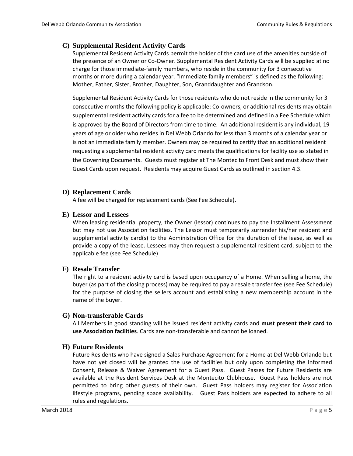#### <span id="page-7-0"></span>**C) Supplemental Resident Activity Cards**

Supplemental Resident Activity Cards permit the holder of the card use of the amenities outside of the presence of an Owner or Co-Owner. Supplemental Resident Activity Cards will be supplied at no charge for those immediate-family members, who reside in the community for 3 consecutive months or more during a calendar year. "Immediate family members" is defined as the following: Mother, Father, Sister, Brother, Daughter, Son, Granddaughter and Grandson.

Supplemental Resident Activity Cards for those residents who do not reside in the community for 3 consecutive months the following policy is applicable: Co-owners, or additional residents may obtain supplemental resident activity cards for a fee to be determined and defined in a Fee Schedule which is approved by the Board of Directors from time to time. An additional resident is any individual, 19 years of age or older who resides in Del Webb Orlando for less than 3 months of a calendar year or is not an immediate family member. Owners may be required to certify that an additional resident requesting a supplemental resident activity card meets the qualifications for facility use as stated in the Governing Documents. Guests must register at The Montecito Front Desk and must show their Guest Cards upon request. Residents may acquire Guest Cards as outlined in section 4.3.

#### <span id="page-7-1"></span>**D) Replacement Cards**

A fee will be charged for replacement cards (See Fee Schedule).

#### <span id="page-7-2"></span>**E) Lessor and Lessees**

When leasing residential property, the Owner (lessor) continues to pay the Installment Assessment but may not use Association facilities. The Lessor must temporarily surrender his/her resident and supplemental activity card(s) to the Administration Office for the duration of the lease, as well as provide a copy of the lease. Lessees may then request a supplemental resident card, subject to the applicable fee (see Fee Schedule)

#### <span id="page-7-3"></span>**F) Resale Transfer**

The right to a resident activity card is based upon occupancy of a Home. When selling a home, the buyer (as part of the closing process) may be required to pay a resale transfer fee (see Fee Schedule) for the purpose of closing the sellers account and establishing a new membership account in the name of the buyer.

#### <span id="page-7-4"></span>**G) Non-transferable Cards**

All Members in good standing will be issued resident activity cards and **must present their card to use Association facilities**. Cards are non-transferable and cannot be loaned.

#### <span id="page-7-5"></span>**H) Future Residents**

Future Residents who have signed a Sales Purchase Agreement for a Home at Del Webb Orlando but have not yet closed will be granted the use of facilities but only upon completing the Informed Consent, Release & Waiver Agreement for a Guest Pass. Guest Passes for Future Residents are available at the Resident Services Desk at the Montecito Clubhouse. Guest Pass holders are not permitted to bring other guests of their own. Guest Pass holders may register for Association lifestyle programs, pending space availability. Guest Pass holders are expected to adhere to all rules and regulations.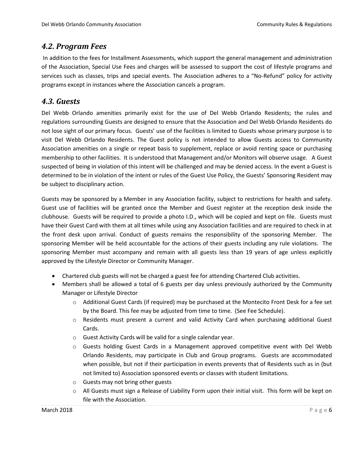### <span id="page-8-0"></span>*4.2. Program Fees*

In addition to the fees for Installment Assessments, which support the general management and administration of the Association, Special Use Fees and charges will be assessed to support the cost of lifestyle programs and services such as classes, trips and special events. The Association adheres to a "No-Refund" policy for activity programs except in instances where the Association cancels a program.

### <span id="page-8-1"></span>*4.3. Guests*

Del Webb Orlando amenities primarily exist for the use of Del Webb Orlando Residents; the rules and regulations surrounding Guests are designed to ensure that the Association and Del Webb Orlando Residents do not lose sight of our primary focus. Guests' use of the facilities is limited to Guests whose primary purpose is to visit Del Webb Orlando Residents. The Guest policy is not intended to allow Guests access to Community Association amenities on a single or repeat basis to supplement, replace or avoid renting space or purchasing membership to other facilities. It is understood that Management and/or Monitors will observe usage. A Guest suspected of being in violation of this intent will be challenged and may be denied access. In the event a Guest is determined to be in violation of the intent or rules of the Guest Use Policy, the Guests' Sponsoring Resident may be subject to disciplinary action.

Guests may be sponsored by a Member in any Association facility, subject to restrictions for health and safety. Guest use of facilities will be granted once the Member and Guest register at the reception desk inside the clubhouse. Guests will be required to provide a photo I.D., which will be copied and kept on file. Guests must have their Guest Card with them at all times while using any Association facilities and are required to check in at the front desk upon arrival. Conduct of guests remains the responsibility of the sponsoring Member. The sponsoring Member will be held accountable for the actions of their guests including any rule violations. The sponsoring Member must accompany and remain with all guests less than 19 years of age unless explicitly approved by the Lifestyle Director or Community Manager.

- Chartered club guests will not be charged a guest fee for attending Chartered Club activities.
- Members shall be allowed a total of 6 guests per day unless previously authorized by the Community Manager or Lifestyle Director
	- o Additional Guest Cards (if required) may be purchased at the Montecito Front Desk for a fee set by the Board. This fee may be adjusted from time to time. (See Fee Schedule).
	- o Residents must present a current and valid Activity Card when purchasing additional Guest Cards.
	- o Guest Activity Cards will be valid for a single calendar year.
	- o Guests holding Guest Cards in a Management approved competitive event with Del Webb Orlando Residents, may participate in Club and Group programs. Guests are accommodated when possible, but not if their participation in events prevents that of Residents such as in (but not limited to) Association sponsored events or classes with student limitations.
	- o Guests may not bring other guests
	- $\circ$  All Guests must sign a Release of Liability Form upon their initial visit. This form will be kept on file with the Association.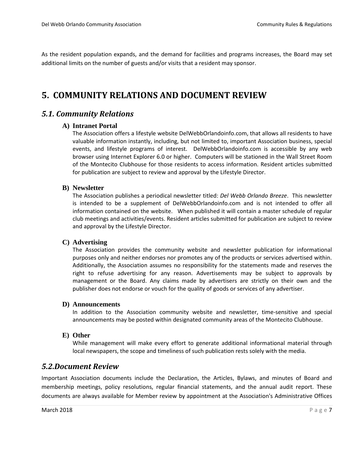As the resident population expands, and the demand for facilities and programs increases, the Board may set additional limits on the number of guests and/or visits that a resident may sponsor.

# <span id="page-9-0"></span>**5. COMMUNITY RELATIONS AND DOCUMENT REVIEW**

### <span id="page-9-2"></span><span id="page-9-1"></span>*5.1. Community Relations*

#### **A) Intranet Portal**

The Association offers a lifestyle website DelWebbOrlandoinfo.com, that allows all residents to have valuable information instantly, including, but not limited to, important Association business, special events, and lifestyle programs of interest. DelWebbOrlandoinfo.com is accessible by any web browser using Internet Explorer 6.0 or higher. Computers will be stationed in the Wall Street Room of the Montecito Clubhouse for those residents to access information. Resident articles submitted for publication are subject to review and approval by the Lifestyle Director.

#### <span id="page-9-3"></span>**B) Newsletter**

The Association publishes a periodical newsletter titled: *Del Webb Orlando Breeze*. This newsletter is intended to be a supplement of DelWebbOrlandoinfo.com and is not intended to offer all information contained on the website. When published it will contain a master schedule of regular club meetings and activities/events. Resident articles submitted for publication are subject to review and approval by the Lifestyle Director.

#### <span id="page-9-4"></span>**C) Advertising**

The Association provides the community website and newsletter publication for informational purposes only and neither endorses nor promotes any of the products or services advertised within. Additionally, the Association assumes no responsibility for the statements made and reserves the right to refuse advertising for any reason. Advertisements may be subject to approvals by management or the Board. Any claims made by advertisers are strictly on their own and the publisher does not endorse or vouch for the quality of goods or services of any advertiser.

#### <span id="page-9-5"></span>**D) Announcements**

In addition to the Association community website and newsletter, time-sensitive and special announcements may be posted within designated community areas of the Montecito Clubhouse.

#### <span id="page-9-6"></span>**E) Other**

While management will make every effort to generate additional informational material through local newspapers, the scope and timeliness of such publication rests solely with the media.

### <span id="page-9-7"></span>*5.2.Document Review*

Important Association documents include the Declaration, the Articles, Bylaws, and minutes of Board and membership meetings, policy resolutions, regular financial statements, and the annual audit report. These documents are always available for Member review by appointment at the Association's Administrative Offices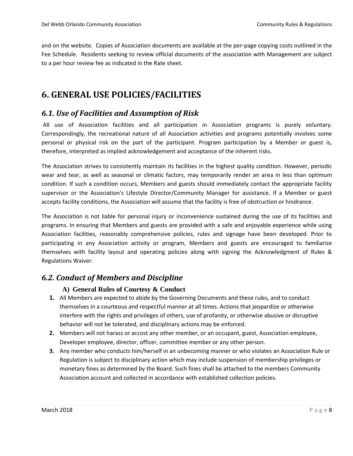and on the website. Copies of Association documents are available at the per-page copying costs outlined in the Fee Schedule. Residents seeking to review official documents of the association with Management are subject to a per hour review fee as indicated in the Rate sheet.

# <span id="page-10-0"></span>**6. GENERAL USE POLICIES/FACILITIES**

### <span id="page-10-1"></span>*6.1. Use of Facilities and Assumption of Risk*

All use of Association facilities and all participation in Association programs is purely voluntary. Correspondingly, the recreational nature of all Association activities and programs potentially involves some personal or physical risk on the part of the participant. Program participation by a Member or guest is, therefore, interpreted as implied acknowledgement and acceptance of the inherent risks.

The Association strives to consistently maintain its facilities in the highest quality condition. However, periodic wear and tear, as well as seasonal or climatic factors, may temporarily render an area in less than optimum condition. If such a condition occurs, Members and guests should immediately contact the appropriate facility supervisor or the Association's Lifestyle Director/Community Manager for assistance. If a Member or guest accepts facility conditions, the Association will assume that the facility is free of obstruction or hindrance.

The Association is not liable for personal injury or inconvenience sustained during the use of its facilities and programs. In ensuring that Members and guests are provided with a safe and enjoyable experience while using Association facilities, reasonably comprehensive policies, rules and signage have been developed. Prior to participating in any Association activity or program, Members and guests are encouraged to familiarize themselves with facility layout and operating policies along with signing the Acknowledgment of Rules & Regulations Waiver.

### <span id="page-10-3"></span><span id="page-10-2"></span>*6.2. Conduct of Members and Discipline*

#### **A) General Rules of Courtesy & Conduct**

- **1.** All Members are expected to abide by the Governing Documents and these rules, and to conduct themselves in a courteous and respectful manner at all times. Actions that jeopardize or otherwise interfere with the rights and privileges of others, use of profanity, or otherwise abusive or disruptive behavior will not be tolerated, and disciplinary actions may be enforced.
- **2.** Members will not harass or accost any other member, or an occupant, guest, Association employee, Developer employee, director, officer, committee member or any other person.
- **3.** Any member who conducts him/herself in an unbecoming manner or who violates an Association Rule or Regulation is subject to disciplinary action which may include suspension of membership privileges or monetary fines as determined by the Board. Such fines shall be attached to the members Community Association account and collected in accordance with established collection policies.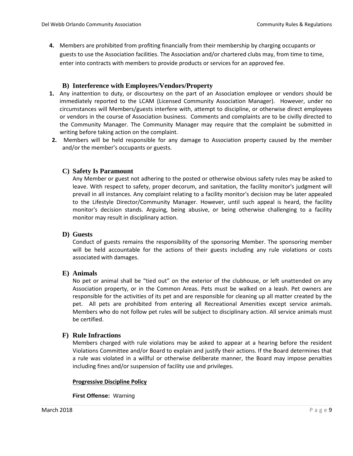**4.** Members are prohibited from profiting financially from their membership by charging occupants or guests to use the Association facilities. The Association and/or chartered clubs may, from time to time, enter into contracts with members to provide products or services for an approved fee.

#### **B) Interference with Employees/Vendors/Property**

- <span id="page-11-0"></span>**1.** Any inattention to duty, or discourtesy on the part of an Association employee or vendors should be immediately reported to the LCAM (Licensed Community Association Manager). However, under no circumstances will Members/guests interfere with, attempt to discipline, or otherwise direct employees or vendors in the course of Association business. Comments and complaints are to be civilly directed to the Community Manager. The Community Manager may require that the complaint be submitted in writing before taking action on the complaint.
- **2.** Members will be held responsible for any damage to Association property caused by the member and/or the member's occupants or guests.

#### <span id="page-11-1"></span>**C) Safety Is Paramount**

Any Member or guest not adhering to the posted or otherwise obvious safety rules may be asked to leave. With respect to safety, proper decorum, and sanitation, the facility monitor's judgment will prevail in all instances. Any complaint relating to a facility monitor's decision may be later appealed to the Lifestyle Director/Community Manager. However, until such appeal is heard, the facility monitor's decision stands. Arguing, being abusive, or being otherwise challenging to a facility monitor may result in disciplinary action.

#### <span id="page-11-2"></span>**D) Guests**

Conduct of guests remains the responsibility of the sponsoring Member. The sponsoring member will be held accountable for the actions of their guests including any rule violations or costs associated with damages.

#### <span id="page-11-3"></span>**E) Animals**

No pet or animal shall be "tied out" on the exterior of the clubhouse, or left unattended on any Association property, or in the Common Areas. Pets must be walked on a leash. Pet owners are responsible for the activities of its pet and are responsible for cleaning up all matter created by the pet. All pets are prohibited from entering all Recreational Amenities except service animals. Members who do not follow pet rules will be subject to disciplinary action. All service animals must be certified.

#### <span id="page-11-4"></span>**F) Rule Infractions**

Members charged with rule violations may be asked to appear at a hearing before the resident Violations Committee and/or Board to explain and justify their actions. If the Board determines that a rule was violated in a willful or otherwise deliberate manner, the Board may impose penalties including fines and/or suspension of facility use and privileges.

#### **Progressive Discipline Policy**

**First Offense:** Warning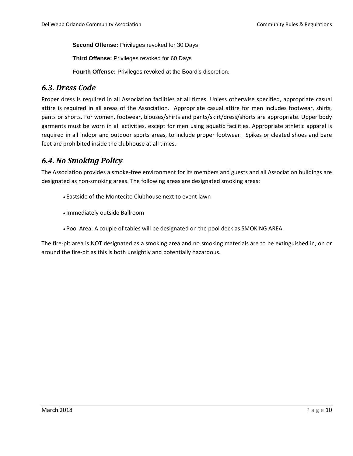**Second Offense:** Privileges revoked for 30 Days

**Third Offense:** Privileges revoked for 60 Days

**Fourth Offense:** Privileges revoked at the Board's discretion.

### <span id="page-12-0"></span>*6.3. Dress Code*

Proper dress is required in all Association facilities at all times. Unless otherwise specified, appropriate casual attire is required in all areas of the Association. Appropriate casual attire for men includes footwear, shirts, pants or shorts. For women, footwear, blouses/shirts and pants/skirt/dress/shorts are appropriate. Upper body garments must be worn in all activities, except for men using aquatic facilities. Appropriate athletic apparel is required in all indoor and outdoor sports areas, to include proper footwear. Spikes or cleated shoes and bare feet are prohibited inside the clubhouse at all times.

### <span id="page-12-1"></span>*6.4. No Smoking Policy*

The Association provides a smoke-free environment for its members and guests and all Association buildings are designated as non-smoking areas. The following areas are designated smoking areas:

- Eastside of the Montecito Clubhouse next to event lawn
- Immediately outside Ballroom
- ●Pool Area: A couple of tables will be designated on the pool deck as SMOKING AREA.

The fire-pit area is NOT designated as a smoking area and no smoking materials are to be extinguished in, on or around the fire-pit as this is both unsightly and potentially hazardous.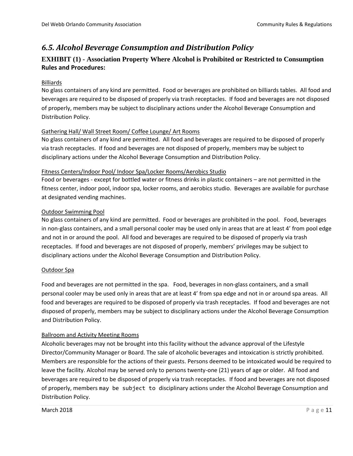### <span id="page-13-0"></span>*6.5. Alcohol Beverage Consumption and Distribution Policy*

### <span id="page-13-1"></span>**EXHIBIT (1) - Association Property Where Alcohol is Prohibited or Restricted to Consumption Rules and Procedures:**

#### Billiards

No glass containers of any kind are permitted. Food or beverages are prohibited on billiards tables. All food and beverages are required to be disposed of properly via trash receptacles. If food and beverages are not disposed of properly, members may be subject to disciplinary actions under the Alcohol Beverage Consumption and Distribution Policy.

#### Gathering Hall/ Wall Street Room/ Coffee Lounge/ Art Rooms

No glass containers of any kind are permitted. All food and beverages are required to be disposed of properly via trash receptacles. If food and beverages are not disposed of properly, members may be subject to disciplinary actions under the Alcohol Beverage Consumption and Distribution Policy.

#### Fitness Centers/Indoor Pool/ Indoor Spa/Locker Rooms/Aerobics Studio

Food or beverages - except for bottled water or fitness drinks in plastic containers – are not permitted in the fitness center, indoor pool, indoor spa, locker rooms, and aerobics studio. Beverages are available for purchase at designated vending machines.

#### Outdoor Swimming Pool

No glass containers of any kind are permitted. Food or beverages are prohibited in the pool. Food, beverages in non-glass containers, and a small personal cooler may be used only in areas that are at least 4' from pool edge and not in or around the pool. All food and beverages are required to be disposed of properly via trash receptacles. If food and beverages are not disposed of properly, members' privileges may be subject to disciplinary actions under the Alcohol Beverage Consumption and Distribution Policy.

#### Outdoor Spa

Food and beverages are not permitted in the spa. Food, beverages in non-glass containers, and a small personal cooler may be used only in areas that are at least 4' from spa edge and not in or around spa areas. All food and beverages are required to be disposed of properly via trash receptacles. If food and beverages are not disposed of properly, members may be subject to disciplinary actions under the Alcohol Beverage Consumption and Distribution Policy.

#### Ballroom and Activity Meeting Rooms

Alcoholic beverages may not be brought into this facility without the advance approval of the Lifestyle Director/Community Manager or Board. The sale of alcoholic beverages and intoxication is strictly prohibited. Members are responsible for the actions of their guests. Persons deemed to be intoxicated would be required to leave the facility. Alcohol may be served only to persons twenty-one (21) years of age or older. All food and beverages are required to be disposed of properly via trash receptacles. If food and beverages are not disposed of properly, members may be subject to disciplinary actions under the Alcohol Beverage Consumption and Distribution Policy.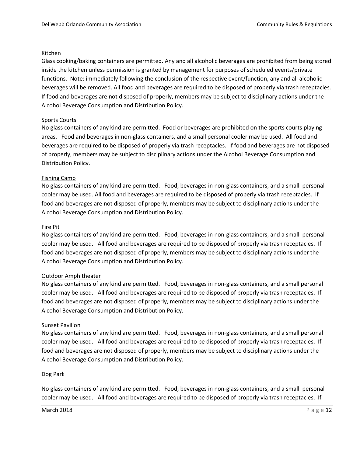#### Kitchen

Glass cooking/baking containers are permitted. Any and all alcoholic beverages are prohibited from being stored inside the kitchen unless permission is granted by management for purposes of scheduled events/private functions. Note: immediately following the conclusion of the respective event/function, any and all alcoholic beverages will be removed. All food and beverages are required to be disposed of properly via trash receptacles. If food and beverages are not disposed of properly, members may be subject to disciplinary actions under the Alcohol Beverage Consumption and Distribution Policy.

#### Sports Courts

No glass containers of any kind are permitted. Food or beverages are prohibited on the sports courts playing areas. Food and beverages in non-glass containers, and a small personal cooler may be used. All food and beverages are required to be disposed of properly via trash receptacles. If food and beverages are not disposed of properly, members may be subject to disciplinary actions under the Alcohol Beverage Consumption and Distribution Policy.

#### Fishing Camp

No glass containers of any kind are permitted. Food, beverages in non-glass containers, and a small personal cooler may be used. All food and beverages are required to be disposed of properly via trash receptacles. If food and beverages are not disposed of properly, members may be subject to disciplinary actions under the Alcohol Beverage Consumption and Distribution Policy.

#### Fire Pit

No glass containers of any kind are permitted. Food, beverages in non-glass containers, and a small personal cooler may be used. All food and beverages are required to be disposed of properly via trash receptacles. If food and beverages are not disposed of properly, members may be subject to disciplinary actions under the Alcohol Beverage Consumption and Distribution Policy.

#### Outdoor Amphitheater

No glass containers of any kind are permitted. Food, beverages in non-glass containers, and a small personal cooler may be used. All food and beverages are required to be disposed of properly via trash receptacles. If food and beverages are not disposed of properly, members may be subject to disciplinary actions under the Alcohol Beverage Consumption and Distribution Policy.

#### Sunset Pavilion

No glass containers of any kind are permitted. Food, beverages in non-glass containers, and a small personal cooler may be used. All food and beverages are required to be disposed of properly via trash receptacles. If food and beverages are not disposed of properly, members may be subject to disciplinary actions under the Alcohol Beverage Consumption and Distribution Policy.

#### Dog Park

No glass containers of any kind are permitted. Food, beverages in non-glass containers, and a small personal cooler may be used. All food and beverages are required to be disposed of properly via trash receptacles. If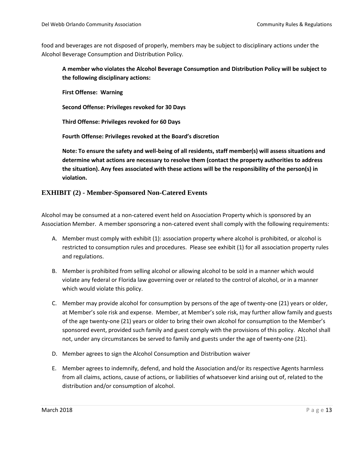food and beverages are not disposed of properly, members may be subject to disciplinary actions under the Alcohol Beverage Consumption and Distribution Policy.

**A member who violates the Alcohol Beverage Consumption and Distribution Policy will be subject to the following disciplinary actions:**

**First Offense: Warning**

**Second Offense: Privileges revoked for 30 Days** 

**Third Offense: Privileges revoked for 60 Days** 

**Fourth Offense: Privileges revoked at the Board's discretion** 

<span id="page-15-0"></span>**Note: To ensure the safety and well-being of all residents, staff member(s) will assess situations and determine what actions are necessary to resolve them (contact the property authorities to address the situation). Any fees associated with these actions will be the responsibility of the person(s) in violation.** 

#### **EXHIBIT (2) - Member-Sponsored Non-Catered Events**

Alcohol may be consumed at a non-catered event held on Association Property which is sponsored by an Association Member. A member sponsoring a non-catered event shall comply with the following requirements:

- A. Member must comply with exhibit (1): association property where alcohol is prohibited, or alcohol is restricted to consumption rules and procedures. Please see exhibit (1) for all association property rules and regulations.
- B. Member is prohibited from selling alcohol or allowing alcohol to be sold in a manner which would violate any federal or Florida law governing over or related to the control of alcohol, or in a manner which would violate this policy.
- C. Member may provide alcohol for consumption by persons of the age of twenty-one (21) years or older, at Member's sole risk and expense. Member, at Member's sole risk, may further allow family and guests of the age twenty-one (21) years or older to bring their own alcohol for consumption to the Member's sponsored event, provided such family and guest comply with the provisions of this policy. Alcohol shall not, under any circumstances be served to family and guests under the age of twenty-one (21).
- D. Member agrees to sign the Alcohol Consumption and Distribution waiver
- E. Member agrees to indemnify, defend, and hold the Association and/or its respective Agents harmless from all claims, actions, cause of actions, or liabilities of whatsoever kind arising out of, related to the distribution and/or consumption of alcohol.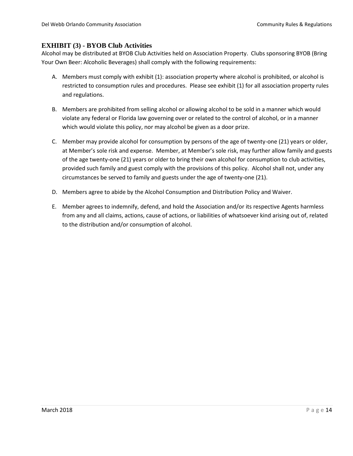#### <span id="page-16-0"></span>**EXHIBIT (3) - BYOB Club Activities**

Alcohol may be distributed at BYOB Club Activities held on Association Property. Clubs sponsoring BYOB (Bring Your Own Beer: Alcoholic Beverages) shall comply with the following requirements:

- A. Members must comply with exhibit (1): association property where alcohol is prohibited, or alcohol is restricted to consumption rules and procedures. Please see exhibit (1) for all association property rules and regulations.
- B. Members are prohibited from selling alcohol or allowing alcohol to be sold in a manner which would violate any federal or Florida law governing over or related to the control of alcohol, or in a manner which would violate this policy, nor may alcohol be given as a door prize.
- C. Member may provide alcohol for consumption by persons of the age of twenty-one (21) years or older, at Member's sole risk and expense. Member, at Member's sole risk, may further allow family and guests of the age twenty-one (21) years or older to bring their own alcohol for consumption to club activities, provided such family and guest comply with the provisions of this policy. Alcohol shall not, under any circumstances be served to family and guests under the age of twenty-one (21).
- D. Members agree to abide by the Alcohol Consumption and Distribution Policy and Waiver.
- E. Member agrees to indemnify, defend, and hold the Association and/or its respective Agents harmless from any and all claims, actions, cause of actions, or liabilities of whatsoever kind arising out of, related to the distribution and/or consumption of alcohol.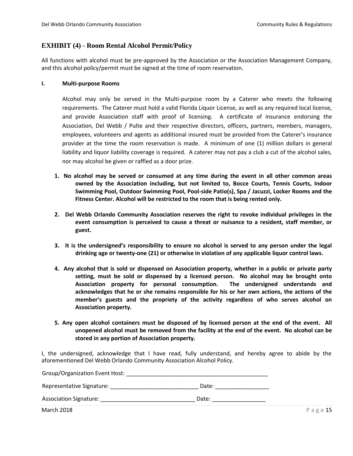#### <span id="page-17-0"></span>**EXHIBIT (4) - Room Rental Alcohol Permit/Policy**

All functions with alcohol must be pre-approved by the Association or the Association Management Company, and this alcohol policy/permit must be signed at the time of room reservation.

#### **I. Multi-purpose Rooms**

Alcohol may only be served in the Multi-purpose room by a Caterer who meets the following requirements. The Caterer must hold a valid Florida Liquor License, as well as any required local license, and provide Association staff with proof of licensing. A certificate of insurance endorsing the Association, Del Webb / Pulte and their respective directors, officers, partners, members, managers, employees, volunteers and agents as additional insured must be provided from the Caterer's insurance provider at the time the room reservation is made. A minimum of one (1) million dollars in general liability and liquor liability coverage is required. A caterer may not pay a club a cut of the alcohol sales, nor may alcohol be given or raffled as a door prize.

- **1. No alcohol may be served or consumed at any time during the event in all other common areas owned by the Association including, but not limited to, Bocce Courts, Tennis Courts, Indoor Swimming Pool, Outdoor Swimming Pool, Pool-side Patio(s), Spa / Jacuzzi, Locker Rooms and the Fitness Center. Alcohol will be restricted to the room that is being rented only.**
- **2. Del Webb Orlando Community Association reserves the right to revoke individual privileges in the event consumption is perceived to cause a threat or nuisance to a resident, staff member, or guest.**
- **3. It is the undersigned's responsibility to ensure no alcohol is served to any person under the legal drinking age or twenty-one (21) or otherwise in violation of any applicable liquor control laws.**
- **4. Any alcohol that is sold or dispensed on Association property, whether in a public or private party setting, must be sold or dispensed by a licensed person. No alcohol may be brought onto Association property for personal consumption. The undersigned understands and acknowledges that he or she remains responsible for his or her own actions, the actions of the member's guests and the propriety of the activity regardless of who serves alcohol on Association property.**
- **5. Any open alcohol containers must be disposed of by licensed person at the end of the event. All unopened alcohol must be removed from the facility at the end of the event. No alcohol can be stored in any portion of Association property.**

I, the undersigned, acknowledge that I have read, fully understand, and hereby agree to abide by the aforementioned Del Webb Orlando Community Association Alcohol Policy.

| Group/Organization Event Host: |       |            |
|--------------------------------|-------|------------|
| Representative Signature:      | Date: |            |
| <b>Association Signature:</b>  | Date: |            |
| <b>March 2018</b>              |       | P a g e 15 |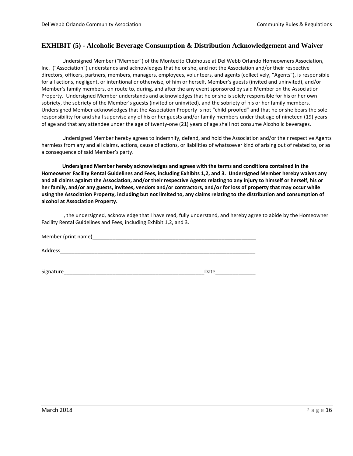#### <span id="page-18-0"></span>**EXHIBIT (5) - Alcoholic Beverage Consumption & Distribution Acknowledgement and Waiver**

Undersigned Member ("Member") of the Montecito Clubhouse at Del Webb Orlando Homeowners Association, Inc. ("Association") understands and acknowledges that he or she, and not the Association and/or their respective directors, officers, partners, members, managers, employees, volunteers, and agents (collectively, "Agents"), is responsible for all actions, negligent, or intentional or otherwise, of him or herself, Member's guests (invited and uninvited), and/or Member's family members, on route to, during, and after the any event sponsored by said Member on the Association Property. Undersigned Member understands and acknowledges that he or she is solely responsible for his or her own sobriety, the sobriety of the Member's guests (invited or uninvited), and the sobriety of his or her family members. Undersigned Member acknowledges that the Association Property is not "child-proofed" and that he or she bears the sole responsibility for and shall supervise any of his or her guests and/or family members under that age of nineteen (19) years of age and that any attendee under the age of twenty-one (21) years of age shall not consume Alcoholic beverages.

Undersigned Member hereby agrees to indemnify, defend, and hold the Association and/or their respective Agents harmless from any and all claims, actions, cause of actions, or liabilities of whatsoever kind of arising out of related to, or as a consequence of said Member's party.

**Undersigned Member hereby acknowledges and agrees with the terms and conditions contained in the Homeowner Facility Rental Guidelines and Fees, including Exhibits 1,2, and 3. Undersigned Member hereby waives any and all claims against the Association, and/or their respective Agents relating to any injury to himself or herself, his or her family, and/or any guests, invitees, vendors and/or contractors, and/or for loss of property that may occur while using the Association Property, including but not limited to, any claims relating to the distribution and consumption of alcohol at Association Property.**

I, the undersigned, acknowledge that I have read, fully understand, and hereby agree to abide by the Homeowner Facility Rental Guidelines and Fees, including Exhibit 1,2, and 3.

| Member (print name) |  |
|---------------------|--|
|---------------------|--|

Address\_\_\_\_\_\_\_\_\_\_\_\_\_\_\_\_\_\_\_\_\_\_\_\_\_\_\_\_\_\_\_\_\_\_\_\_\_\_\_\_\_\_\_\_\_\_\_\_\_\_\_\_\_\_\_\_\_\_\_\_\_\_\_\_\_\_\_\_

Signature\_\_\_\_\_\_\_\_\_\_\_\_\_\_\_\_\_\_\_\_\_\_\_\_\_\_\_\_\_\_\_\_\_\_\_\_\_\_\_\_\_\_\_\_\_\_\_\_\_Date\_\_\_\_\_\_\_\_\_\_\_\_\_\_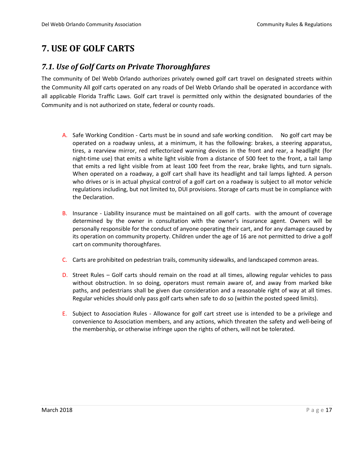# <span id="page-19-0"></span>**7. USE OF GOLF CARTS**

### <span id="page-19-1"></span>*7.1. Use of Golf Carts on Private Thoroughfares*

The community of Del Webb Orlando authorizes privately owned golf cart travel on designated streets within the Community All golf carts operated on any roads of Del Webb Orlando shall be operated in accordance with all applicable Florida Traffic Laws. Golf cart travel is permitted only within the designated boundaries of the Community and is not authorized on state, federal or county roads.

- A. Safe Working Condition Carts must be in sound and safe working condition. No golf cart may be operated on a roadway unless, at a minimum, it has the following: brakes, a steering apparatus, tires, a rearview mirror, red reflectorized warning devices in the front and rear, a headlight (for night-time use) that emits a white light visible from a distance of 500 feet to the front, a tail lamp that emits a red light visible from at least 100 feet from the rear, brake lights, and turn signals. When operated on a roadway, a golf cart shall have its headlight and tail lamps lighted. A person who drives or is in actual physical control of a golf cart on a roadway is subject to all motor vehicle regulations including, but not limited to, DUI provisions. Storage of carts must be in compliance with the Declaration.
- B. Insurance Liability insurance must be maintained on all golf carts. with the amount of coverage determined by the owner in consultation with the owner's insurance agent. Owners will be personally responsible for the conduct of anyone operating their cart, and for any damage caused by its operation on community property. Children under the age of 16 are not permitted to drive a golf cart on community thoroughfares.
- C. Carts are prohibited on pedestrian trails, community sidewalks, and landscaped common areas.
- D. Street Rules Golf carts should remain on the road at all times, allowing regular vehicles to pass without obstruction. In so doing, operators must remain aware of, and away from marked bike paths, and pedestrians shall be given due consideration and a reasonable right of way at all times. Regular vehicles should only pass golf carts when safe to do so (within the posted speed limits).
- E. Subject to Association Rules Allowance for golf cart street use is intended to be a privilege and convenience to Association members, and any actions, which threaten the safety and well-being of the membership, or otherwise infringe upon the rights of others, will not be tolerated.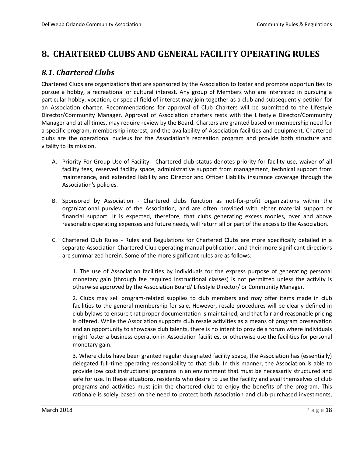# <span id="page-20-0"></span>**8. CHARTERED CLUBS AND GENERAL FACILITY OPERATING RULES**

### <span id="page-20-1"></span>*8.1. Chartered Clubs*

Chartered Clubs are organizations that are sponsored by the Association to foster and promote opportunities to pursue a hobby, a recreational or cultural interest. Any group of Members who are interested in pursuing a particular hobby, vocation, or special field of interest may join together as a club and subsequently petition for an Association charter. Recommendations for approval of Club Charters will be submitted to the Lifestyle Director/Community Manager. Approval of Association charters rests with the Lifestyle Director/Community Manager and at all times, may require review by the Board. Charters are granted based on membership need for a specific program, membership interest, and the availability of Association facilities and equipment. Chartered clubs are the operational nucleus for the Association's recreation program and provide both structure and vitality to its mission.

- A. Priority For Group Use of Facility Chartered club status denotes priority for facility use, waiver of all facility fees, reserved facility space, administrative support from management, technical support from maintenance, and extended liability and Director and Officer Liability insurance coverage through the Association's policies.
- B. Sponsored by Association Chartered clubs function as not-for-profit organizations within the organizational purview of the Association, and are often provided with either material support or financial support. It is expected, therefore, that clubs generating excess monies, over and above reasonable operating expenses and future needs, will return all or part of the excess to the Association.
- C. Chartered Club Rules Rules and Regulations for Chartered Clubs are more specifically detailed in a separate Association Chartered Club operating manual publication, and their more significant directions are summarized herein. Some of the more significant rules are as follows:

1. The use of Association facilities by individuals for the express purpose of generating personal monetary gain (through fee required instructional classes) is not permitted unless the activity is otherwise approved by the Association Board/ Lifestyle Director/ or Community Manager.

2. Clubs may sell program-related supplies to club members and may offer items made in club facilities to the general membership for sale. However, resale procedures will be clearly defined in club bylaws to ensure that proper documentation is maintained, and that fair and reasonable pricing is offered. While the Association supports club resale activities as a means of program preservation and an opportunity to showcase club talents, there is no intent to provide a forum where individuals might foster a business operation in Association facilities, or otherwise use the facilities for personal monetary gain.

3. Where clubs have been granted regular designated facility space, the Association has (essentially) delegated full-time operating responsibility to that club. In this manner, the Association is able to provide low cost instructional programs in an environment that must be necessarily structured and safe for use. In these situations, residents who desire to use the facility and avail themselves of club programs and activities must join the chartered club to enjoy the benefits of the program. This rationale is solely based on the need to protect both Association and club-purchased investments,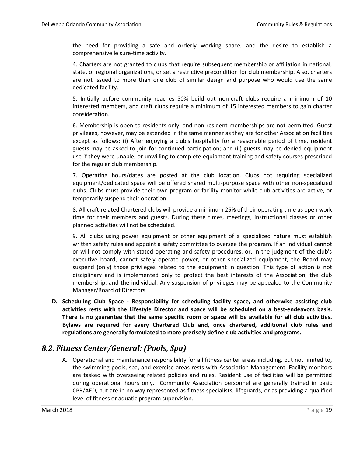the need for providing a safe and orderly working space, and the desire to establish a comprehensive leisure-time activity.

4. Charters are not granted to clubs that require subsequent membership or affiliation in national, state, or regional organizations, or set a restrictive precondition for club membership. Also, charters are not issued to more than one club of similar design and purpose who would use the same dedicated facility.

5. Initially before community reaches 50% build out non-craft clubs require a minimum of 10 interested members, and craft clubs require a minimum of 15 interested members to gain charter consideration.

6. Membership is open to residents only, and non-resident memberships are not permitted. Guest privileges, however, may be extended in the same manner as they are for other Association facilities except as follows: (i) After enjoying a club's hospitality for a reasonable period of time, resident guests may be asked to join for continued participation; and (ii) guests may be denied equipment use if they were unable, or unwilling to complete equipment training and safety courses prescribed for the regular club membership.

7. Operating hours/dates are posted at the club location. Clubs not requiring specialized equipment/dedicated space will be offered shared multi-purpose space with other non-specialized clubs. Clubs must provide their own program or facility monitor while club activities are active, or temporarily suspend their operation.

8. All craft-related Chartered clubs will provide a minimum 25% of their operating time as open work time for their members and guests. During these times, meetings, instructional classes or other planned activities will not be scheduled.

9. All clubs using power equipment or other equipment of a specialized nature must establish written safety rules and appoint a safety committee to oversee the program. If an individual cannot or will not comply with stated operating and safety procedures, or, in the judgment of the club's executive board, cannot safely operate power, or other specialized equipment, the Board may suspend (only) those privileges related to the equipment in question. This type of action is not disciplinary and is implemented only to protect the best interests of the Association, the club membership, and the individual. Any suspension of privileges may be appealed to the Community Manager/Board of Directors.

**D. Scheduling Club Space - Responsibility for scheduling facility space, and otherwise assisting club activities rests with the Lifestyle Director and space will be scheduled on a best-endeavors basis. There is no guarantee that the same specific room or space will be available for all club activities. Bylaws are required for every Chartered Club and, once chartered, additional club rules and regulations are generally formulated to more precisely define club activities and programs.**

### <span id="page-21-0"></span>*8.2. Fitness Center/General: (Pools, Spa)*

A. Operational and maintenance responsibility for all fitness center areas including, but not limited to, the swimming pools, spa, and exercise areas rests with Association Management. Facility monitors are tasked with overseeing related policies and rules. Resident use of facilities will be permitted during operational hours only. Community Association personnel are generally trained in basic CPR/AED, but are in no way represented as fitness specialists, lifeguards, or as providing a qualified level of fitness or aquatic program supervision.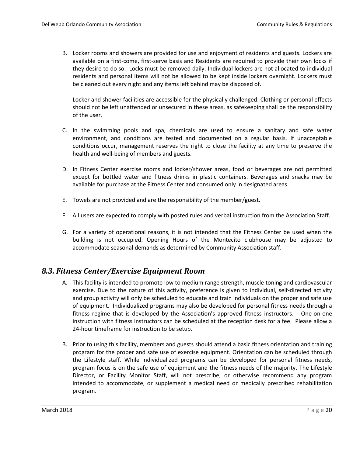B. Locker rooms and showers are provided for use and enjoyment of residents and guests. Lockers are available on a first-come, first-serve basis and Residents are required to provide their own locks if they desire to do so. Locks must be removed daily. Individual lockers are not allocated to individual residents and personal items will not be allowed to be kept inside lockers overnight. Lockers must be cleaned out every night and any items left behind may be disposed of.

Locker and shower facilities are accessible for the physically challenged. Clothing or personal effects should not be left unattended or unsecured in these areas, as safekeeping shall be the responsibility of the user.

- C. In the swimming pools and spa, chemicals are used to ensure a sanitary and safe water environment, and conditions are tested and documented on a regular basis. If unacceptable conditions occur, management reserves the right to close the facility at any time to preserve the health and well-being of members and guests.
- D. In Fitness Center exercise rooms and locker/shower areas, food or beverages are not permitted except for bottled water and fitness drinks in plastic containers. Beverages and snacks may be available for purchase at the Fitness Center and consumed only in designated areas.
- E. Towels are not provided and are the responsibility of the member/guest.
- F. All users are expected to comply with posted rules and verbal instruction from the Association Staff.
- G. For a variety of operational reasons, it is not intended that the Fitness Center be used when the building is not occupied. Opening Hours of the Montecito clubhouse may be adjusted to accommodate seasonal demands as determined by Community Association staff.

### <span id="page-22-0"></span>*8.3. Fitness Center/Exercise Equipment Room*

- A. This facility is intended to promote low to medium range strength, muscle toning and cardiovascular exercise. Due to the nature of this activity, preference is given to individual, self-directed activity and group activity will only be scheduled to educate and train individuals on the proper and safe use of equipment. Individualized programs may also be developed for personal fitness needs through a fitness regime that is developed by the Association's approved fitness instructors. One-on-one instruction with fitness instructors can be scheduled at the reception desk for a fee. Please allow a 24-hour timeframe for instruction to be setup.
- B. Prior to using this facility, members and guests should attend a basic fitness orientation and training program for the proper and safe use of exercise equipment. Orientation can be scheduled through the Lifestyle staff. While individualized programs can be developed for personal fitness needs, program focus is on the safe use of equipment and the fitness needs of the majority. The Lifestyle Director, or Facility Monitor Staff, will not prescribe, or otherwise recommend any program intended to accommodate, or supplement a medical need or medically prescribed rehabilitation program.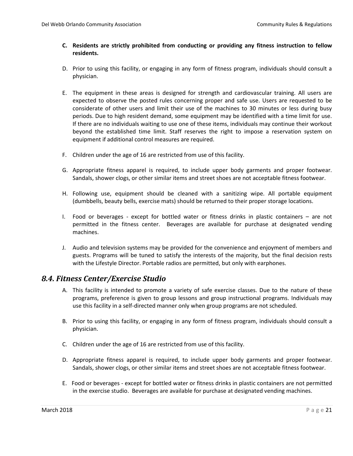#### **C. Residents are strictly prohibited from conducting or providing any fitness instruction to fellow residents.**

- D. Prior to using this facility, or engaging in any form of fitness program, individuals should consult a physician.
- E. The equipment in these areas is designed for strength and cardiovascular training. All users are expected to observe the posted rules concerning proper and safe use. Users are requested to be considerate of other users and limit their use of the machines to 30 minutes or less during busy periods. Due to high resident demand, some equipment may be identified with a time limit for use. If there are no individuals waiting to use one of these items, individuals may continue their workout beyond the established time limit. Staff reserves the right to impose a reservation system on equipment if additional control measures are required.
- F. Children under the age of 16 are restricted from use of this facility.
- G. Appropriate fitness apparel is required, to include upper body garments and proper footwear. Sandals, shower clogs, or other similar items and street shoes are not acceptable fitness footwear.
- H. Following use, equipment should be cleaned with a sanitizing wipe. All portable equipment (dumbbells, beauty bells, exercise mats) should be returned to their proper storage locations.
- I. Food or beverages except for bottled water or fitness drinks in plastic containers are not permitted in the fitness center. Beverages are available for purchase at designated vending machines.
- J. Audio and television systems may be provided for the convenience and enjoyment of members and guests. Programs will be tuned to satisfy the interests of the majority, but the final decision rests with the Lifestyle Director. Portable radios are permitted, but only with earphones.

### <span id="page-23-0"></span>*8.4. Fitness Center/Exercise Studio*

- A. This facility is intended to promote a variety of safe exercise classes. Due to the nature of these programs, preference is given to group lessons and group instructional programs. Individuals may use this facility in a self-directed manner only when group programs are not scheduled.
- B. Prior to using this facility, or engaging in any form of fitness program, individuals should consult a physician.
- C. Children under the age of 16 are restricted from use of this facility.
- D. Appropriate fitness apparel is required, to include upper body garments and proper footwear. Sandals, shower clogs, or other similar items and street shoes are not acceptable fitness footwear.
- E. Food or beverages except for bottled water or fitness drinks in plastic containers are not permitted in the exercise studio. Beverages are available for purchase at designated vending machines.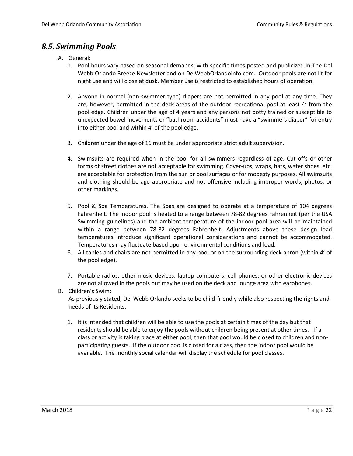### <span id="page-24-0"></span>*8.5. Swimming Pools*

- A. General:
	- 1. Pool hours vary based on seasonal demands, with specific times posted and publicized in The Del Webb Orlando Breeze Newsletter and on DelWebbOrlandoinfo.com. Outdoor pools are not lit for night use and will close at dusk. Member use is restricted to established hours of operation.
	- 2. Anyone in normal (non-swimmer type) diapers are not permitted in any pool at any time. They are, however, permitted in the deck areas of the outdoor recreational pool at least 4' from the pool edge. Children under the age of 4 years and any persons not potty trained or susceptible to unexpected bowel movements or "bathroom accidents" must have a "swimmers diaper" for entry into either pool and within 4' of the pool edge.
	- 3. Children under the age of 16 must be under appropriate strict adult supervision.
	- 4. Swimsuits are required when in the pool for all swimmers regardless of age. Cut-offs or other forms of street clothes are not acceptable for swimming. Cover-ups, wraps, hats, water shoes, etc. are acceptable for protection from the sun or pool surfaces or for modesty purposes. All swimsuits and clothing should be age appropriate and not offensive including improper words, photos, or other markings.
	- 5. Pool & Spa Temperatures. The Spas are designed to operate at a temperature of 104 degrees Fahrenheit. The indoor pool is heated to a range between 78-82 degrees Fahrenheit (per the USA Swimming guidelines) and the ambient temperature of the indoor pool area will be maintained within a range between 78-82 degrees Fahrenheit. Adjustments above these design load temperatures introduce significant operational considerations and cannot be accommodated. Temperatures may fluctuate based upon environmental conditions and load.
	- 6. All tables and chairs are not permitted in any pool or on the surrounding deck apron (within 4' of the pool edge).
	- 7. Portable radios, other music devices, laptop computers, cell phones, or other electronic devices are not allowed in the pools but may be used on the deck and lounge area with earphones.

#### B. Children's Swim:

As previously stated, Del Webb Orlando seeks to be child-friendly while also respecting the rights and needs of its Residents.

1. It is intended that children will be able to use the pools at certain times of the day but that residents should be able to enjoy the pools without children being present at other times. If a class or activity is taking place at either pool, then that pool would be closed to children and nonparticipating guests. If the outdoor pool is closed for a class, then the indoor pool would be available. The monthly social calendar will display the schedule for pool classes.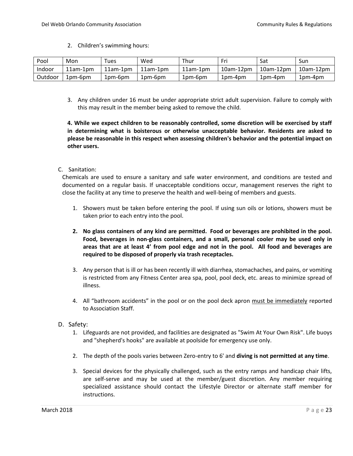2. Children's swimming hours:

| Pool    | Mon      | Tues     | Wed        | Thur       | Fri              | Sat       | Sun              |
|---------|----------|----------|------------|------------|------------------|-----------|------------------|
| Indoor  | 11am-1pm | 11am-1pm | $11am-1dm$ | $11am-1pm$ | $10$ am- $12$ pm | 10am-12pm | $10$ am- $12$ pm |
| Outdoor | 1pm-6pm  | 1pm-6pm  | 1pm-6pm    | 1pm-6pm    | 1pm-4pm          | $1pm-4pm$ | 1pm-4pm          |

3. Any children under 16 must be under appropriate strict adult supervision. Failure to comply with this may result in the member being asked to remove the child.

**4. While we expect children to be reasonably controlled, some discretion will be exercised by staff in determining what is boisterous or otherwise unacceptable behavior. Residents are asked to please be reasonable in this respect when assessing children's behavior and the potential impact on other users.**

#### C. Sanitation:

Chemicals are used to ensure a sanitary and safe water environment, and conditions are tested and documented on a regular basis. If unacceptable conditions occur, management reserves the right to close the facility at any time to preserve the health and well-being of members and guests.

- 1. Showers must be taken before entering the pool. If using sun oils or lotions, showers must be taken prior to each entry into the pool.
- **2. No glass containers of any kind are permitted. Food or beverages are prohibited in the pool. Food, beverages in non-glass containers, and a small, personal cooler may be used only in areas that are at least 4' from pool edge and not in the pool. All food and beverages are required to be disposed of properly via trash receptacles.**
- 3. Any person that is ill or has been recently ill with diarrhea, stomachaches, and pains, or vomiting is restricted from any Fitness Center area spa, pool, pool deck, etc. areas to minimize spread of illness.
- 4. All "bathroom accidents" in the pool or on the pool deck apron must be immediately reported to Association Staff.
- D. Safety:
	- 1. Lifeguards are not provided, and facilities are designated as "Swim At Your Own Risk". Life buoys and "shepherd's hooks" are available at poolside for emergency use only.
	- 2. The depth of the pools varies between Zero-entry to 6' and **diving is not permitted at any time**.
	- 3. Special devices for the physically challenged, such as the entry ramps and handicap chair lifts, are self-serve and may be used at the member/guest discretion. Any member requiring specialized assistance should contact the Lifestyle Director or alternate staff member for instructions.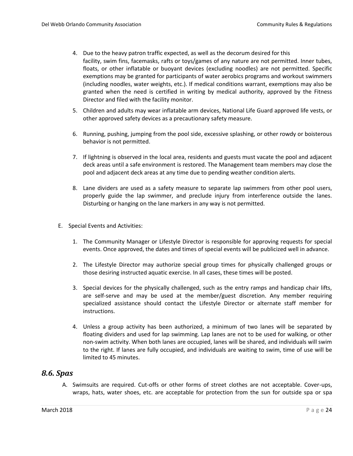- 4. Due to the heavy patron traffic expected, as well as the decorum desired for this facility, swim fins, facemasks, rafts or toys/games of any nature are not permitted. Inner tubes, floats, or other inflatable or buoyant devices (excluding noodles) are not permitted. Specific exemptions may be granted for participants of water aerobics programs and workout swimmers (including noodles, water weights, etc.). If medical conditions warrant, exemptions may also be granted when the need is certified in writing by medical authority, approved by the Fitness Director and filed with the facility monitor.
- 5. Children and adults may wear inflatable arm devices, National Life Guard approved life vests, or other approved safety devices as a precautionary safety measure.
- 6. Running, pushing, jumping from the pool side, excessive splashing, or other rowdy or boisterous behavior is not permitted.
- 7. If lightning is observed in the local area, residents and guests must vacate the pool and adjacent deck areas until a safe environment is restored. The Management team members may close the pool and adjacent deck areas at any time due to pending weather condition alerts.
- 8. Lane dividers are used as a safety measure to separate lap swimmers from other pool users, properly guide the lap swimmer, and preclude injury from interference outside the lanes. Disturbing or hanging on the lane markers in any way is not permitted.
- E. Special Events and Activities:
	- 1. The Community Manager or Lifestyle Director is responsible for approving requests for special events. Once approved, the dates and times of special events will be publicized well in advance.
	- 2. The Lifestyle Director may authorize special group times for physically challenged groups or those desiring instructed aquatic exercise. In all cases, these times will be posted.
	- 3. Special devices for the physically challenged, such as the entry ramps and handicap chair lifts, are self-serve and may be used at the member/guest discretion. Any member requiring specialized assistance should contact the Lifestyle Director or alternate staff member for instructions.
	- 4. Unless a group activity has been authorized, a minimum of two lanes will be separated by floating dividers and used for lap swimming. Lap lanes are not to be used for walking, or other non-swim activity. When both lanes are occupied, lanes will be shared, and individuals will swim to the right. If lanes are fully occupied, and individuals are waiting to swim, time of use will be limited to 45 minutes.

### <span id="page-26-0"></span>*8.6. Spas*

A. Swimsuits are required. Cut-offs or other forms of street clothes are not acceptable. Cover-ups, wraps, hats, water shoes, etc. are acceptable for protection from the sun for outside spa or spa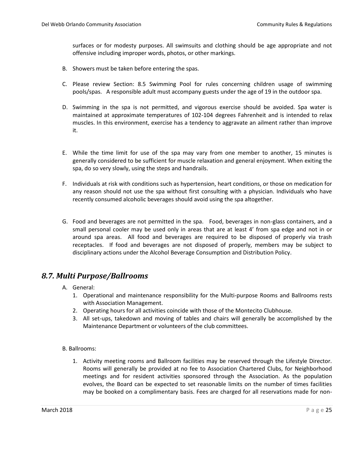surfaces or for modesty purposes. All swimsuits and clothing should be age appropriate and not offensive including improper words, photos, or other markings.

- B. Showers must be taken before entering the spas.
- C. Please review Section: 8.5 Swimming Pool for rules concerning children usage of swimming pools/spas. A responsible adult must accompany guests under the age of 19 in the outdoor spa.
- D. Swimming in the spa is not permitted, and vigorous exercise should be avoided. Spa water is maintained at approximate temperatures of 102-104 degrees Fahrenheit and is intended to relax muscles. In this environment, exercise has a tendency to aggravate an ailment rather than improve it.
- E. While the time limit for use of the spa may vary from one member to another, 15 minutes is generally considered to be sufficient for muscle relaxation and general enjoyment. When exiting the spa, do so very slowly, using the steps and handrails.
- F. Individuals at risk with conditions such as hypertension, heart conditions, or those on medication for any reason should not use the spa without first consulting with a physician. Individuals who have recently consumed alcoholic beverages should avoid using the spa altogether.
- G. Food and beverages are not permitted in the spa. Food, beverages in non-glass containers, and a small personal cooler may be used only in areas that are at least 4' from spa edge and not in or around spa areas. All food and beverages are required to be disposed of properly via trash receptacles. If food and beverages are not disposed of properly, members may be subject to disciplinary actions under the Alcohol Beverage Consumption and Distribution Policy.

### <span id="page-27-0"></span>*8.7. Multi Purpose/Ballrooms*

- A. General:
	- 1. Operational and maintenance responsibility for the Multi-purpose Rooms and Ballrooms rests with Association Management.
	- 2. Operating hours for all activities coincide with those of the Montecito Clubhouse.
	- 3. All set-ups, takedown and moving of tables and chairs will generally be accomplished by the Maintenance Department or volunteers of the club committees.

#### B. Ballrooms:

1. Activity meeting rooms and Ballroom facilities may be reserved through the Lifestyle Director. Rooms will generally be provided at no fee to Association Chartered Clubs, for Neighborhood meetings and for resident activities sponsored through the Association. As the population evolves, the Board can be expected to set reasonable limits on the number of times facilities may be booked on a complimentary basis. Fees are charged for all reservations made for non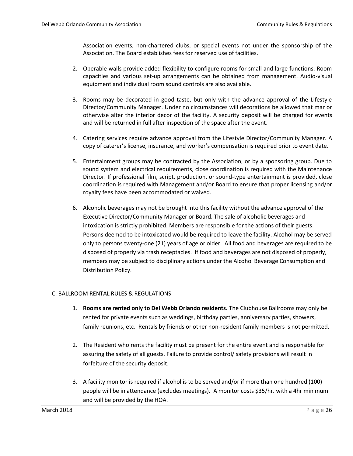Association events, non-chartered clubs, or special events not under the sponsorship of the Association. The Board establishes fees for reserved use of facilities.

- 2. Operable walls provide added flexibility to configure rooms for small and large functions. Room capacities and various set-up arrangements can be obtained from management. Audio-visual equipment and individual room sound controls are also available.
- 3. Rooms may be decorated in good taste, but only with the advance approval of the Lifestyle Director/Community Manager. Under no circumstances will decorations be allowed that mar or otherwise alter the interior decor of the facility. A security deposit will be charged for events and will be returned in full after inspection of the space after the event.
- 4. Catering services require advance approval from the Lifestyle Director/Community Manager. A copy of caterer's license, insurance, and worker's compensation is required prior to event date.
- 5. Entertainment groups may be contracted by the Association, or by a sponsoring group. Due to sound system and electrical requirements, close coordination is required with the Maintenance Director. If professional film, script, production, or sound-type entertainment is provided, close coordination is required with Management and/or Board to ensure that proper licensing and/or royalty fees have been accommodated or waived.
- 6. Alcoholic beverages may not be brought into this facility without the advance approval of the Executive Director/Community Manager or Board. The sale of alcoholic beverages and intoxication is strictly prohibited. Members are responsible for the actions of their guests. Persons deemed to be intoxicated would be required to leave the facility. Alcohol may be served only to persons twenty-one (21) years of age or older. All food and beverages are required to be disposed of properly via trash receptacles. If food and beverages are not disposed of properly, members may be subject to disciplinary actions under the Alcohol Beverage Consumption and Distribution Policy.

#### C. BALLROOM RENTAL RULES & REGULATIONS

- 1. **Rooms are rented only to Del Webb Orlando residents.** The Clubhouse Ballrooms may only be rented for private events such as weddings, birthday parties, anniversary parties, showers, family reunions, etc. Rentals by friends or other non-resident family members is not permitted.
- 2. The Resident who rents the facility must be present for the entire event and is responsible for assuring the safety of all guests. Failure to provide control/ safety provisions will result in forfeiture of the security deposit.
- 3. A facility monitor is required if alcohol is to be served and/or if more than one hundred (100) people will be in attendance (excludes meetings). A monitor costs \$35/hr. with a 4hr minimum and will be provided by the HOA.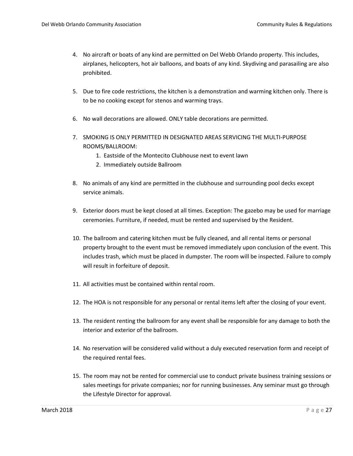- 4. No aircraft or boats of any kind are permitted on Del Webb Orlando property. This includes, airplanes, helicopters, hot air balloons, and boats of any kind. Skydiving and parasailing are also prohibited.
- 5. Due to fire code restrictions, the kitchen is a demonstration and warming kitchen only. There is to be no cooking except for stenos and warming trays.
- 6. No wall decorations are allowed. ONLY table decorations are permitted.
- 7. SMOKING IS ONLY PERMITTED IN DESIGNATED AREAS SERVICING THE MULTI-PURPOSE ROOMS/BALLROOM:
	- 1. Eastside of the Montecito Clubhouse next to event lawn
	- 2. Immediately outside Ballroom
- 8. No animals of any kind are permitted in the clubhouse and surrounding pool decks except service animals.
- 9. Exterior doors must be kept closed at all times. Exception: The gazebo may be used for marriage ceremonies. Furniture, if needed, must be rented and supervised by the Resident.
- 10. The ballroom and catering kitchen must be fully cleaned, and all rental items or personal property brought to the event must be removed immediately upon conclusion of the event. This includes trash, which must be placed in dumpster. The room will be inspected. Failure to comply will result in forfeiture of deposit.
- 11. All activities must be contained within rental room.
- 12. The HOA is not responsible for any personal or rental items left after the closing of your event.
- 13. The resident renting the ballroom for any event shall be responsible for any damage to both the interior and exterior of the ballroom.
- 14. No reservation will be considered valid without a duly executed reservation form and receipt of the required rental fees.
- 15. The room may not be rented for commercial use to conduct private business training sessions or sales meetings for private companies; nor for running businesses. Any seminar must go through the Lifestyle Director for approval.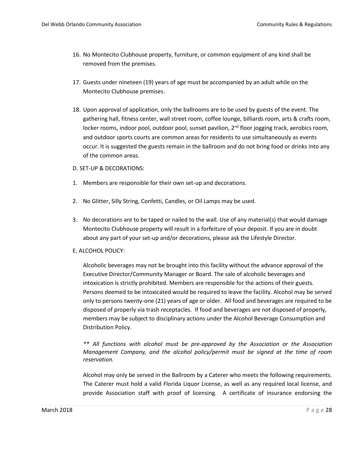- 16. No Montecito Clubhouse property, furniture, or common equipment of any kind shall be removed from the premises.
- 17. Guests under nineteen (19) years of age must be accompanied by an adult while on the Montecito Clubhouse premises.
- 18. Upon approval of application, only the ballrooms are to be used by guests of the event. The gathering hall, fitness center, wall street room, coffee lounge, billiards room, arts & crafts room, locker rooms, indoor pool, outdoor pool, sunset pavilion,  $2<sup>nd</sup>$  floor jogging track, aerobics room, and outdoor sports courts are common areas for residents to use simultaneously as events occur. It is suggested the guests remain in the ballroom and do not bring food or drinks into any of the common areas.
- D. SET-UP & DECORATIONS:
- 1. Members are responsible for their own set-up and decorations.
- 2. No Glitter, Silly String, Confetti, Candles, or Oil Lamps may be used.
- 3. No decorations are to be taped or nailed to the wall. Use of any material(s) that would damage Montecito Clubhouse property will result in a forfeiture of your deposit. If you are in doubt about any part of your set-up and/or decorations, please ask the Lifestyle Director.
- E. ALCOHOL POLICY:

Alcoholic beverages may not be brought into this facility without the advance approval of the Executive Director/Community Manager or Board. The sale of alcoholic beverages and intoxication is strictly prohibited. Members are responsible for the actions of their guests. Persons deemed to be intoxicated would be required to leave the facility. Alcohol may be served only to persons twenty-one (21) years of age or older. All food and beverages are required to be disposed of properly via trash receptacles. If food and beverages are not disposed of properly, members may be subject to disciplinary actions under the Alcohol Beverage Consumption and Distribution Policy.

*\*\* All functions with alcohol must be pre-approved by the Association or the Association Management Company, and the alcohol policy/permit must be signed at the time of room reservation.*

Alcohol may only be served in the Ballroom by a Caterer who meets the following requirements. The Caterer must hold a valid Florida Liquor License, as well as any required local license, and provide Association staff with proof of licensing. A certificate of insurance endorsing the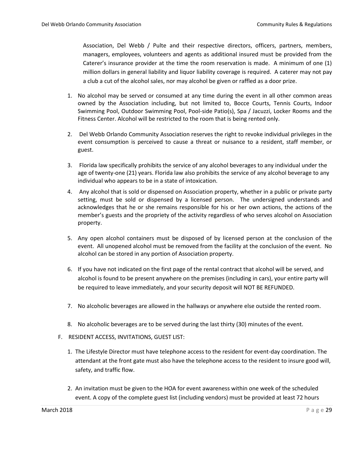Association, Del Webb / Pulte and their respective directors, officers, partners, members, managers, employees, volunteers and agents as additional insured must be provided from the Caterer's insurance provider at the time the room reservation is made. A minimum of one (1) million dollars in general liability and liquor liability coverage is required. A caterer may not pay a club a cut of the alcohol sales, nor may alcohol be given or raffled as a door prize.

- 1. No alcohol may be served or consumed at any time during the event in all other common areas owned by the Association including, but not limited to, Bocce Courts, Tennis Courts, Indoor Swimming Pool, Outdoor Swimming Pool, Pool-side Patio(s), Spa / Jacuzzi, Locker Rooms and the Fitness Center. Alcohol will be restricted to the room that is being rented only.
- 2. Del Webb Orlando Community Association reserves the right to revoke individual privileges in the event consumption is perceived to cause a threat or nuisance to a resident, staff member, or guest.
- 3. Florida law specifically prohibits the service of any alcohol beverages to any individual under the age of twenty-one (21) years. Florida law also prohibits the service of any alcohol beverage to any individual who appears to be in a state of intoxication.
- 4. Any alcohol that is sold or dispensed on Association property, whether in a public or private party setting, must be sold or dispensed by a licensed person. The undersigned understands and acknowledges that he or she remains responsible for his or her own actions, the actions of the member's guests and the propriety of the activity regardless of who serves alcohol on Association property.
- 5. Any open alcohol containers must be disposed of by licensed person at the conclusion of the event. All unopened alcohol must be removed from the facility at the conclusion of the event. No alcohol can be stored in any portion of Association property.
- 6. If you have not indicated on the first page of the rental contract that alcohol will be served, and alcohol is found to be present anywhere on the premises (including in cars), your entire party will be required to leave immediately, and your security deposit will NOT BE REFUNDED.
- 7. No alcoholic beverages are allowed in the hallways or anywhere else outside the rented room.
- 8. No alcoholic beverages are to be served during the last thirty (30) minutes of the event.
- F. RESIDENT ACCESS, INVITATIONS, GUEST LIST:
	- 1. The Lifestyle Director must have telephone access to the resident for event-day coordination. The attendant at the front gate must also have the telephone access to the resident to insure good will, safety, and traffic flow.
	- 2. An invitation must be given to the HOA for event awareness within one week of the scheduled event. A copy of the complete guest list (including vendors) must be provided at least 72 hours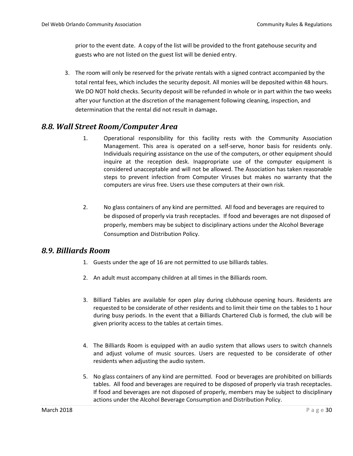prior to the event date. A copy of the list will be provided to the front gatehouse security and guests who are not listed on the guest list will be denied entry.

3. The room will only be reserved for the private rentals with a signed contract accompanied by the total rental fees, which includes the security deposit. All monies will be deposited within 48 hours. We DO NOT hold checks. Security deposit will be refunded in whole or in part within the two weeks after your function at the discretion of the management following cleaning, inspection, and determination that the rental did not result in damage**.**

### <span id="page-32-0"></span>*8.8. Wall Street Room/Computer Area*

- 1. Operational responsibility for this facility rests with the Community Association Management. This area is operated on a self-serve, honor basis for residents only. Individuals requiring assistance on the use of the computers, or other equipment should inquire at the reception desk. Inappropriate use of the computer equipment is considered unacceptable and will not be allowed. The Association has taken reasonable steps to prevent infection from Computer Viruses but makes no warranty that the computers are virus free. Users use these computers at their own risk.
- 2. No glass containers of any kind are permitted. All food and beverages are required to be disposed of properly via trash receptacles. If food and beverages are not disposed of properly, members may be subject to disciplinary actions under the Alcohol Beverage Consumption and Distribution Policy.

### <span id="page-32-1"></span>*8.9. Billiards Room*

- 1. Guests under the age of 16 are not permitted to use billiards tables.
- 2. An adult must accompany children at all times in the Billiards room.
- 3. Billiard Tables are available for open play during clubhouse opening hours. Residents are requested to be considerate of other residents and to limit their time on the tables to 1 hour during busy periods. In the event that a Billiards Chartered Club is formed, the club will be given priority access to the tables at certain times.
- 4. The Billiards Room is equipped with an audio system that allows users to switch channels and adjust volume of music sources. Users are requested to be considerate of other residents when adjusting the audio system.
- 5. No glass containers of any kind are permitted. Food or beverages are prohibited on billiards tables. All food and beverages are required to be disposed of properly via trash receptacles. If food and beverages are not disposed of properly, members may be subject to disciplinary actions under the Alcohol Beverage Consumption and Distribution Policy.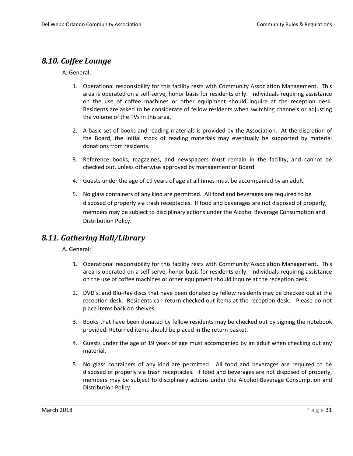### <span id="page-33-0"></span>*8.10. Coffee Lounge*

#### A. General:

- 1. Operational responsibility for this facility rests with Community Association Management. This area is operated on a self-serve, honor basis for residents only. Individuals requiring assistance on the use of coffee machines or other equipment should inquire at the reception desk. Residents are asked to be considerate of fellow residents when switching channels or adjusting the volume of the TVs in this area.
- 2. A basic set of books and reading materials is provided by the Association. At the discretion of the Board, the initial stock of reading materials may eventually be supported by material donations from residents.
- 3. Reference books, magazines, and newspapers must remain in the facility, and cannot be checked out, unless otherwise approved by management or Board.
- 4. Guests under the age of 19 years of age at all times must be accompanied by an adult.
- 5. No glass containers of any kind are permitted. All food and beverages are required to be disposed of properly via trash receptacles. If food and beverages are not disposed of properly, members may be subject to disciplinary actions under the Alcohol Beverage Consumption and Distribution Policy.

### <span id="page-33-1"></span>*8.11. Gathering Hall/Library*

A. General:

- 1. Operational responsibility for this facility rests with Community Association Management. This area is operated on a self-serve, honor basis for residents only. Individuals requiring assistance on the use of coffee machines or other equipment should inquire at the reception desk.
- 2. DVD's, and Blu-Ray discs that have been donated by fellow residents may be checked out at the reception desk. Residents can return checked out items at the reception desk. Please do not place items back on shelves.
- 3. Books that have been donated by fellow residents may be checked out by signing the notebook provided. Returned items should be placed in the return basket.
- 4. Guests under the age of 19 years of age must accompanied by an adult when checking out any material.
- 5. No glass containers of any kind are permitted. All food and beverages are required to be disposed of properly via trash receptacles. If food and beverages are not disposed of properly, members may be subject to disciplinary actions under the Alcohol Beverage Consumption and Distribution Policy.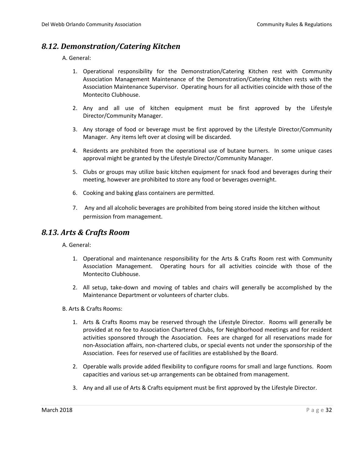### <span id="page-34-0"></span>*8.12. Demonstration/Catering Kitchen*

A. General:

- 1. Operational responsibility for the Demonstration/Catering Kitchen rest with Community Association Management Maintenance of the Demonstration/Catering Kitchen rests with the Association Maintenance Supervisor. Operating hours for all activities coincide with those of the Montecito Clubhouse.
- 2. Any and all use of kitchen equipment must be first approved by the Lifestyle Director/Community Manager.
- 3. Any storage of food or beverage must be first approved by the Lifestyle Director/Community Manager. Any items left over at closing will be discarded.
- 4. Residents are prohibited from the operational use of butane burners. In some unique cases approval might be granted by the Lifestyle Director/Community Manager.
- 5. Clubs or groups may utilize basic kitchen equipment for snack food and beverages during their meeting, however are prohibited to store any food or beverages overnight.
- 6. Cooking and baking glass containers are permitted.
- 7. Any and all alcoholic beverages are prohibited from being stored inside the kitchen without permission from management.

### <span id="page-34-1"></span>*8.13. Arts & Crafts Room*

A. General:

- 1. Operational and maintenance responsibility for the Arts & Crafts Room rest with Community Association Management. Operating hours for all activities coincide with those of the Montecito Clubhouse.
- 2. All setup, take-down and moving of tables and chairs will generally be accomplished by the Maintenance Department or volunteers of charter clubs.
- B. Arts & Crafts Rooms:
	- 1. Arts & Crafts Rooms may be reserved through the Lifestyle Director. Rooms will generally be provided at no fee to Association Chartered Clubs, for Neighborhood meetings and for resident activities sponsored through the Association. Fees are charged for all reservations made for non-Association affairs, non-chartered clubs, or special events not under the sponsorship of the Association. Fees for reserved use of facilities are established by the Board.
	- 2. Operable walls provide added flexibility to configure rooms for small and large functions. Room capacities and various set-up arrangements can be obtained from management.
	- 3. Any and all use of Arts & Crafts equipment must be first approved by the Lifestyle Director.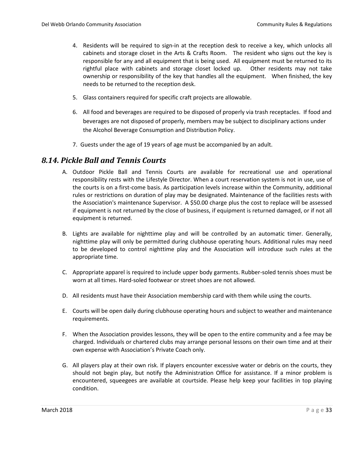- 4. Residents will be required to sign-in at the reception desk to receive a key, which unlocks all cabinets and storage closet in the Arts & Crafts Room. The resident who signs out the key is responsible for any and all equipment that is being used. All equipment must be returned to its rightful place with cabinets and storage closet locked up. Other residents may not take ownership or responsibility of the key that handles all the equipment. When finished, the key needs to be returned to the reception desk.
- 5. Glass containers required for specific craft projects are allowable.
- 6. All food and beverages are required to be disposed of properly via trash receptacles. If food and beverages are not disposed of properly, members may be subject to disciplinary actions under the Alcohol Beverage Consumption and Distribution Policy.
- 7. Guests under the age of 19 years of age must be accompanied by an adult.

### <span id="page-35-0"></span>*8.14. Pickle Ball and Tennis Courts*

- A. Outdoor Pickle Ball and Tennis Courts are available for recreational use and operational responsibility rests with the Lifestyle Director. When a court reservation system is not in use, use of the courts is on a first-come basis. As participation levels increase within the Community, additional rules or restrictions on duration of play may be designated. Maintenance of the facilities rests with the Association's maintenance Supervisor. A \$50.00 charge plus the cost to replace will be assessed if equipment is not returned by the close of business, if equipment is returned damaged, or if not all equipment is returned.
- B. Lights are available for nighttime play and will be controlled by an automatic timer. Generally, nighttime play will only be permitted during clubhouse operating hours. Additional rules may need to be developed to control nighttime play and the Association will introduce such rules at the appropriate time.
- C. Appropriate apparel is required to include upper body garments. Rubber-soled tennis shoes must be worn at all times. Hard-soled footwear or street shoes are not allowed.
- D. All residents must have their Association membership card with them while using the courts.
- E. Courts will be open daily during clubhouse operating hours and subject to weather and maintenance requirements.
- F. When the Association provides lessons, they will be open to the entire community and a fee may be charged. Individuals or chartered clubs may arrange personal lessons on their own time and at their own expense with Association's Private Coach only.
- G. All players play at their own risk. If players encounter excessive water or debris on the courts, they should not begin play, but notify the Administration Office for assistance. If a minor problem is encountered, squeegees are available at courtside. Please help keep your facilities in top playing condition.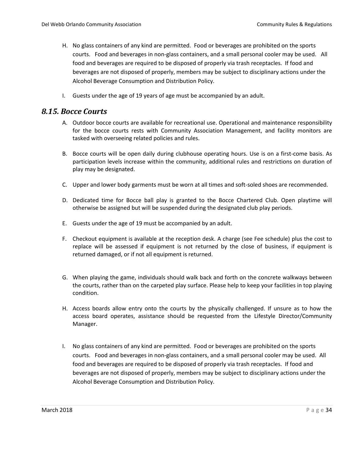- H. No glass containers of any kind are permitted. Food or beverages are prohibited on the sports courts. Food and beverages in non-glass containers, and a small personal cooler may be used. All food and beverages are required to be disposed of properly via trash receptacles. If food and beverages are not disposed of properly, members may be subject to disciplinary actions under the Alcohol Beverage Consumption and Distribution Policy.
- I. Guests under the age of 19 years of age must be accompanied by an adult.

### <span id="page-36-0"></span>*8.15. Bocce Courts*

- A. Outdoor bocce courts are available for recreational use. Operational and maintenance responsibility for the bocce courts rests with Community Association Management, and facility monitors are tasked with overseeing related policies and rules.
- B. Bocce courts will be open daily during clubhouse operating hours. Use is on a first-come basis. As participation levels increase within the community, additional rules and restrictions on duration of play may be designated.
- C. Upper and lower body garments must be worn at all times and soft-soled shoes are recommended.
- D. Dedicated time for Bocce ball play is granted to the Bocce Chartered Club. Open playtime will otherwise be assigned but will be suspended during the designated club play periods.
- E. Guests under the age of 19 must be accompanied by an adult.
- F. Checkout equipment is available at the reception desk. A charge (see Fee schedule) plus the cost to replace will be assessed if equipment is not returned by the close of business, if equipment is returned damaged, or if not all equipment is returned.
- G. When playing the game, individuals should walk back and forth on the concrete walkways between the courts, rather than on the carpeted play surface. Please help to keep your facilities in top playing condition.
- H. Access boards allow entry onto the courts by the physically challenged. If unsure as to how the access board operates, assistance should be requested from the Lifestyle Director/Community Manager.
- I. No glass containers of any kind are permitted. Food or beverages are prohibited on the sports courts. Food and beverages in non-glass containers, and a small personal cooler may be used. All food and beverages are required to be disposed of properly via trash receptacles. If food and beverages are not disposed of properly, members may be subject to disciplinary actions under the Alcohol Beverage Consumption and Distribution Policy.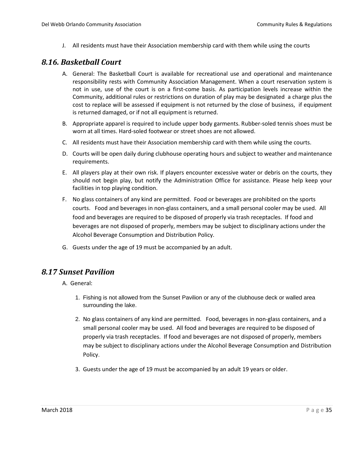J. All residents must have their Association membership card with them while using the courts

### <span id="page-37-0"></span>*8.16. Basketball Court*

- A. General: The Basketball Court is available for recreational use and operational and maintenance responsibility rests with Community Association Management. When a court reservation system is not in use, use of the court is on a first-come basis. As participation levels increase within the Community, additional rules or restrictions on duration of play may be designated a charge plus the cost to replace will be assessed if equipment is not returned by the close of business, if equipment is returned damaged, or if not all equipment is returned.
- B. Appropriate apparel is required to include upper body garments. Rubber-soled tennis shoes must be worn at all times. Hard-soled footwear or street shoes are not allowed.
- C. All residents must have their Association membership card with them while using the courts.
- D. Courts will be open daily during clubhouse operating hours and subject to weather and maintenance requirements.
- E. All players play at their own risk. If players encounter excessive water or debris on the courts, they should not begin play, but notify the Administration Office for assistance. Please help keep your facilities in top playing condition.
- F. No glass containers of any kind are permitted. Food or beverages are prohibited on the sports courts. Food and beverages in non-glass containers, and a small personal cooler may be used. All food and beverages are required to be disposed of properly via trash receptacles. If food and beverages are not disposed of properly, members may be subject to disciplinary actions under the Alcohol Beverage Consumption and Distribution Policy.
- G. Guests under the age of 19 must be accompanied by an adult.

### <span id="page-37-1"></span>*8.17 Sunset Pavilion*

A. General:

- 1. Fishing is not allowed from the Sunset Pavilion or any of the clubhouse deck or walled area surrounding the lake.
- 2. No glass containers of any kind are permitted. Food, beverages in non-glass containers, and a small personal cooler may be used. All food and beverages are required to be disposed of properly via trash receptacles. If food and beverages are not disposed of properly, members may be subject to disciplinary actions under the Alcohol Beverage Consumption and Distribution Policy.
- 3. Guests under the age of 19 must be accompanied by an adult 19 years or older.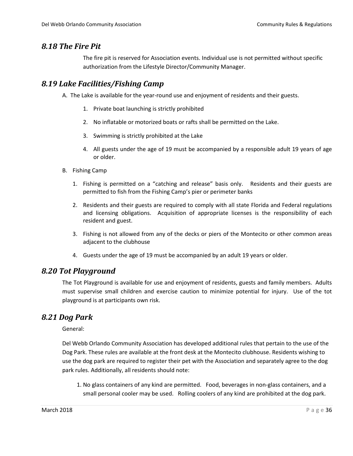### *8.18 The Fire Pit*

The fire pit is reserved for Association events. Individual use is not permitted without specific authorization from the Lifestyle Director/Community Manager.

### <span id="page-38-0"></span>*8.19 Lake Facilities/Fishing Camp*

A. The Lake is available for the year-round use and enjoyment of residents and their guests.

- 1. Private boat launching is strictly prohibited
- 2. No inflatable or motorized boats or rafts shall be permitted on the Lake.
- 3. Swimming is strictly prohibited at the Lake
- 4. All guests under the age of 19 must be accompanied by a responsible adult 19 years of age or older.
- B. Fishing Camp
	- 1. Fishing is permitted on a "catching and release" basis only. Residents and their guests are permitted to fish from the Fishing Camp's pier or perimeter banks
	- 2. Residents and their guests are required to comply with all state Florida and Federal regulations and licensing obligations. Acquisition of appropriate licenses is the responsibility of each resident and guest.
	- 3. Fishing is not allowed from any of the decks or piers of the Montecito or other common areas adjacent to the clubhouse
	- 4. Guests under the age of 19 must be accompanied by an adult 19 years or older.

### <span id="page-38-1"></span>*8.20 Tot Playground*

The Tot Playground is available for use and enjoyment of residents, guests and family members. Adults must supervise small children and exercise caution to minimize potential for injury. Use of the tot playground is at participants own risk.

### <span id="page-38-2"></span>*8.21 Dog Park*

General:

Del Webb Orlando Community Association has developed additional rules that pertain to the use of the Dog Park. These rules are available at the front desk at the Montecito clubhouse. Residents wishing to use the dog park are required to register their pet with the Association and separately agree to the dog park rules. Additionally, all residents should note:

1. No glass containers of any kind are permitted. Food, beverages in non-glass containers, and a small personal cooler may be used. Rolling coolers of any kind are prohibited at the dog park.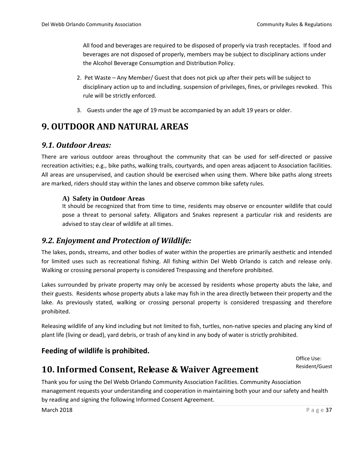All food and beverages are required to be disposed of properly via trash receptacles. If food and beverages are not disposed of properly, members may be subject to disciplinary actions under the Alcohol Beverage Consumption and Distribution Policy.

- 2. Pet Waste Any Member/ Guest that does not pick up after their pets will be subject to disciplinary action up to and including. suspension of privileges, fines, or privileges revoked. This rule will be strictly enforced.
- 3. Guests under the age of 19 must be accompanied by an adult 19 years or older.

## <span id="page-39-0"></span>**9. OUTDOOR AND NATURAL AREAS**

### <span id="page-39-1"></span>*9.1. Outdoor Areas:*

There are various outdoor areas throughout the community that can be used for self-directed or passive recreation activities; e.g., bike paths, walking trails, courtyards, and open areas adjacent to Association facilities. All areas are unsupervised, and caution should be exercised when using them. Where bike paths along streets are marked, riders should stay within the lanes and observe common bike safety rules.

#### <span id="page-39-2"></span>**A) Safety in Outdoor Areas**

It should be recognized that from time to time, residents may observe or encounter wildlife that could pose a threat to personal safety. Alligators and Snakes represent a particular risk and residents are advised to stay clear of wildlife at all times.

### <span id="page-39-3"></span>*9.2. Enjoyment and Protection of Wildlife:*

The lakes, ponds, streams, and other bodies of water within the properties are primarily aesthetic and intended for limited uses such as recreational fishing. All fishing within Del Webb Orlando is catch and release only. Walking or crossing personal property is considered Trespassing and therefore prohibited.

Lakes surrounded by private property may only be accessed by residents whose property abuts the lake, and their guests. Residents whose property abuts a lake may fish in the area directly between their property and the lake. As previously stated, walking or crossing personal property is considered trespassing and therefore prohibited.

Releasing wildlife of any kind including but not limited to fish, turtles, non-native species and placing any kind of plant life (living or dead), yard debris, or trash of any kind in any body of water is strictly prohibited.

### **Feeding of wildlife is prohibited.**

Office Use: Resident/Guest

## <span id="page-39-4"></span>**10. Informed Consent, Release & Waiver Agreement**

Thank you for using the Del Webb Orlando Community Association Facilities. Community Association management requests your understanding and cooperation in maintaining both your and our safety and health by reading and signing the following Informed Consent Agreement.

March 2018 **P** a g e 37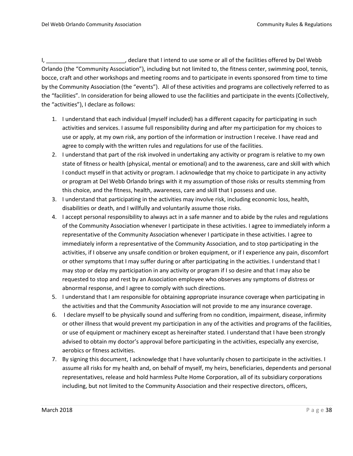I, \_\_\_\_\_\_\_\_\_\_\_\_\_\_\_\_\_\_\_\_\_\_\_\_\_, declare that I intend to use some or all of the facilities offered by Del Webb Orlando (the "Community Association"), including but not limited to, the fitness center, swimming pool, tennis, bocce, craft and other workshops and meeting rooms and to participate in events sponsored from time to time by the Community Association (the "events"). All of these activities and programs are collectively referred to as the "facilities". In consideration for being allowed to use the facilities and participate in the events (Collectively, the "activities"), I declare as follows:

- 1. I understand that each individual (myself included) has a different capacity for participating in such activities and services. I assume full responsibility during and after my participation for my choices to use or apply, at my own risk, any portion of the information or instruction I receive. I have read and agree to comply with the written rules and regulations for use of the facilities.
- 2. I understand that part of the risk involved in undertaking any activity or program is relative to my own state of fitness or health (physical, mental or emotional) and to the awareness, care and skill with which I conduct myself in that activity or program. I acknowledge that my choice to participate in any activity or program at Del Webb Orlando brings with it my assumption of those risks or results stemming from this choice, and the fitness, health, awareness, care and skill that I possess and use.
- 3. I understand that participating in the activities may involve risk, including economic loss, health, disabilities or death, and I willfully and voluntarily assume those risks.
- 4. I accept personal responsibility to always act in a safe manner and to abide by the rules and regulations of the Community Association whenever I participate in these activities. I agree to immediately inform a representative of the Community Association whenever I participate in these activities. I agree to immediately inform a representative of the Community Association, and to stop participating in the activities, if I observe any unsafe condition or broken equipment, or if I experience any pain, discomfort or other symptoms that I may suffer during or after participating in the activities. I understand that I may stop or delay my participation in any activity or program if I so desire and that I may also be requested to stop and rest by an Association employee who observes any symptoms of distress or abnormal response, and I agree to comply with such directions.
- 5. I understand that I am responsible for obtaining appropriate insurance coverage when participating in the activities and that the Community Association will not provide to me any insurance coverage.
- 6. I declare myself to be physically sound and suffering from no condition, impairment, disease, infirmity or other illness that would prevent my participation in any of the activities and programs of the facilities, or use of equipment or machinery except as hereinafter stated. I understand that I have been strongly advised to obtain my doctor's approval before participating in the activities, especially any exercise, aerobics or fitness activities.
- 7. By signing this document, I acknowledge that I have voluntarily chosen to participate in the activities. I assume all risks for my health and, on behalf of myself, my heirs, beneficiaries, dependents and personal representatives, release and hold harmless Pulte Home Corporation, all of its subsidiary corporations including, but not limited to the Community Association and their respective directors, officers,